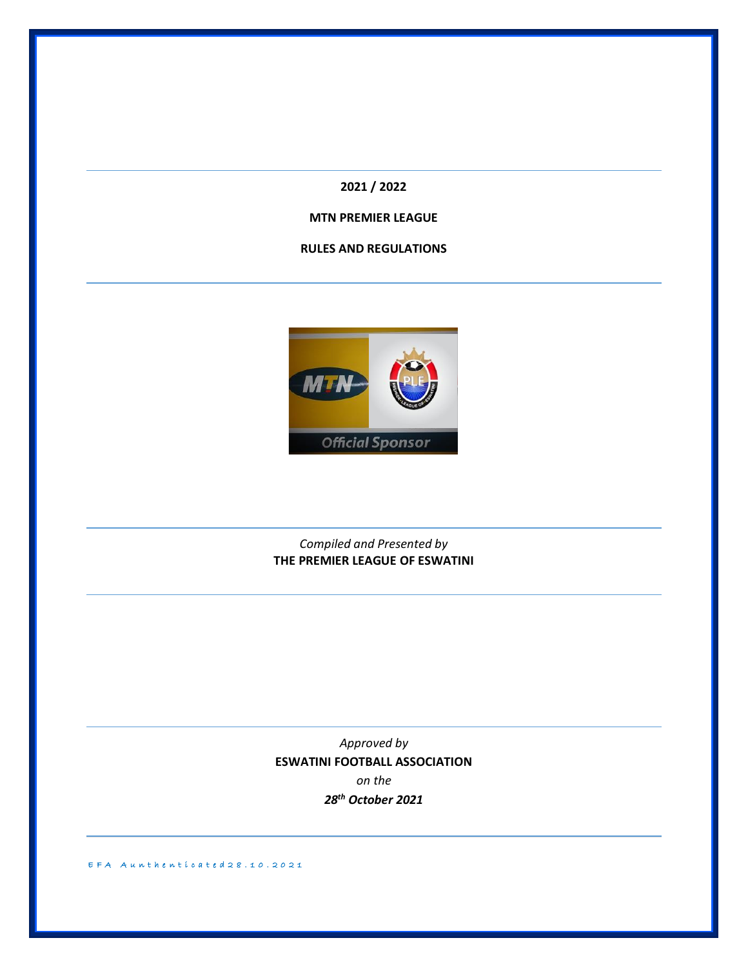**2021 / 2022**

**MTN PREMIER LEAGUE** 

**RULES AND REGULATIONS**



# *Compiled and Presented by* **THE PREMIER LEAGUE OF ESWATINI**

*Approved by* **ESWATINI FOOTBALL ASSOCIATION** *on the 28th October 2021*

 $EFA$  Aunthenticated 28.10.2021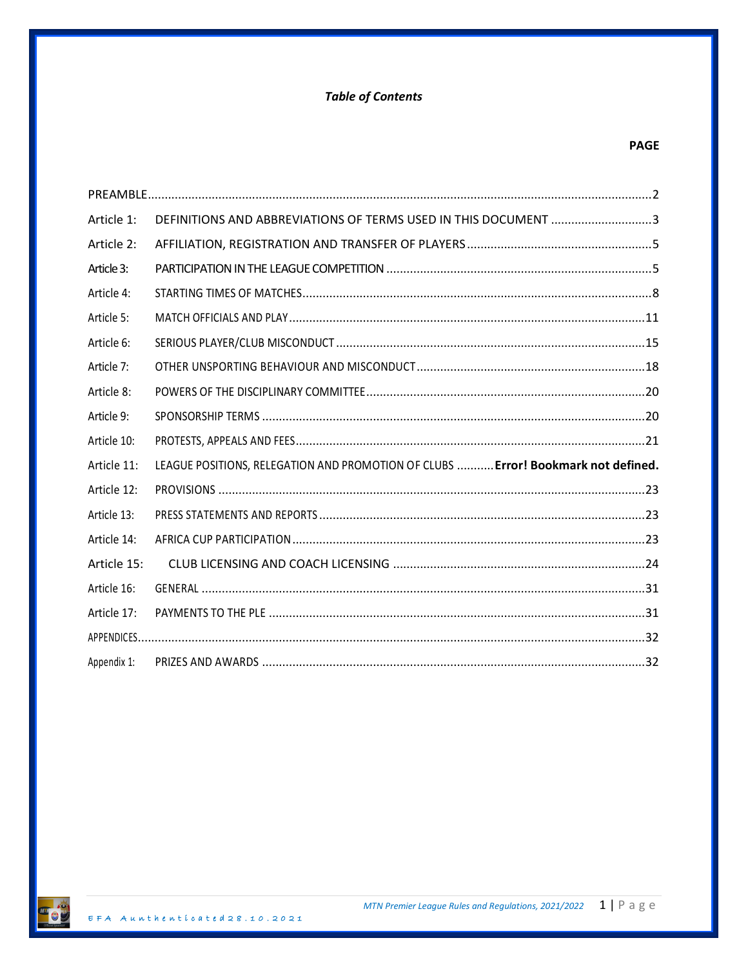# **Table of Contents**

| Article 1:  | DEFINITIONS AND ABBREVIATIONS OF TERMS USED IN THIS DOCUMENT 3                    |
|-------------|-----------------------------------------------------------------------------------|
| Article 2:  |                                                                                   |
| Article 3:  |                                                                                   |
| Article 4:  |                                                                                   |
| Article 5:  |                                                                                   |
| Article 6:  |                                                                                   |
| Article 7:  |                                                                                   |
| Article 8:  |                                                                                   |
| Article 9:  |                                                                                   |
| Article 10: |                                                                                   |
| Article 11: | LEAGUE POSITIONS, RELEGATION AND PROMOTION OF CLUBS  Error! Bookmark not defined. |
| Article 12: |                                                                                   |
| Article 13: |                                                                                   |
|             |                                                                                   |
| Article 14: |                                                                                   |
| Article 15: |                                                                                   |
| Article 16: |                                                                                   |
| Article 17: |                                                                                   |
|             |                                                                                   |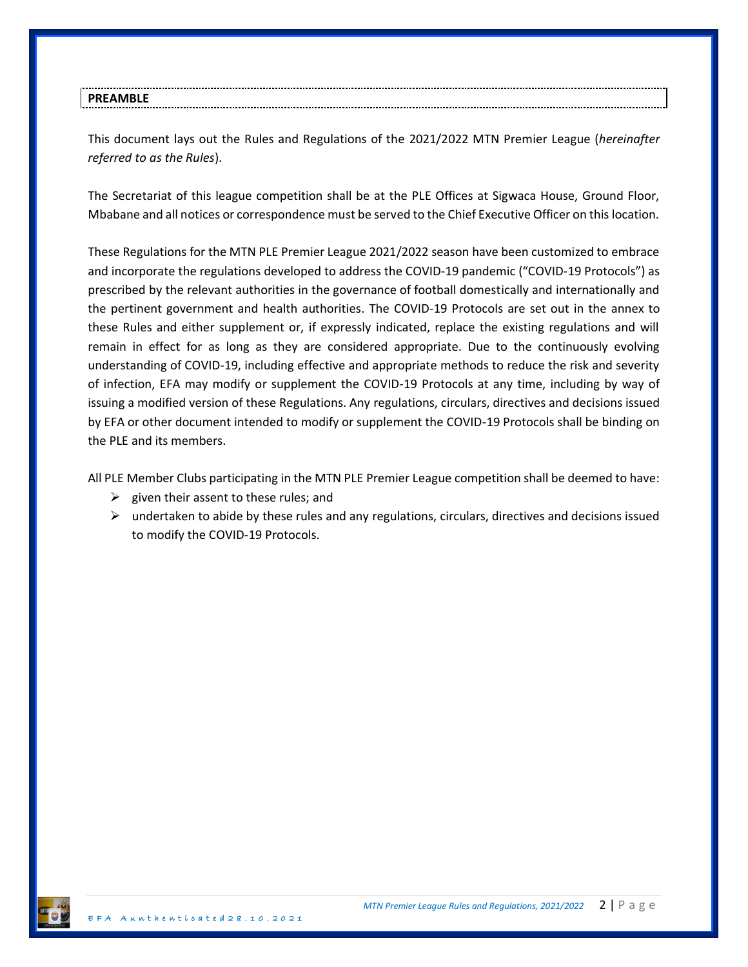This document lays out the Rules and Regulations of the 2021/2022 MTN Premier League (*hereinafter referred to as the Rules*).

The Secretariat of this league competition shall be at the PLE Offices at Sigwaca House, Ground Floor, Mbabane and all notices or correspondence must be served to the Chief Executive Officer on this location.

These Regulations for the MTN PLE Premier League 2021/2022 season have been customized to embrace and incorporate the regulations developed to address the COVID-19 pandemic ("COVID-19 Protocols") as prescribed by the relevant authorities in the governance of football domestically and internationally and the pertinent government and health authorities. The COVID-19 Protocols are set out in the annex to these Rules and either supplement or, if expressly indicated, replace the existing regulations and will remain in effect for as long as they are considered appropriate. Due to the continuously evolving understanding of COVID-19, including effective and appropriate methods to reduce the risk and severity of infection, EFA may modify or supplement the COVID-19 Protocols at any time, including by way of issuing a modified version of these Regulations. Any regulations, circulars, directives and decisions issued by EFA or other document intended to modify or supplement the COVID-19 Protocols shall be binding on the PLE and its members.

All PLE Member Clubs participating in the MTN PLE Premier League competition shall be deemed to have:

- $\triangleright$  given their assent to these rules; and
- $\triangleright$  undertaken to abide by these rules and any regulations, circulars, directives and decisions issued to modify the COVID-19 Protocols.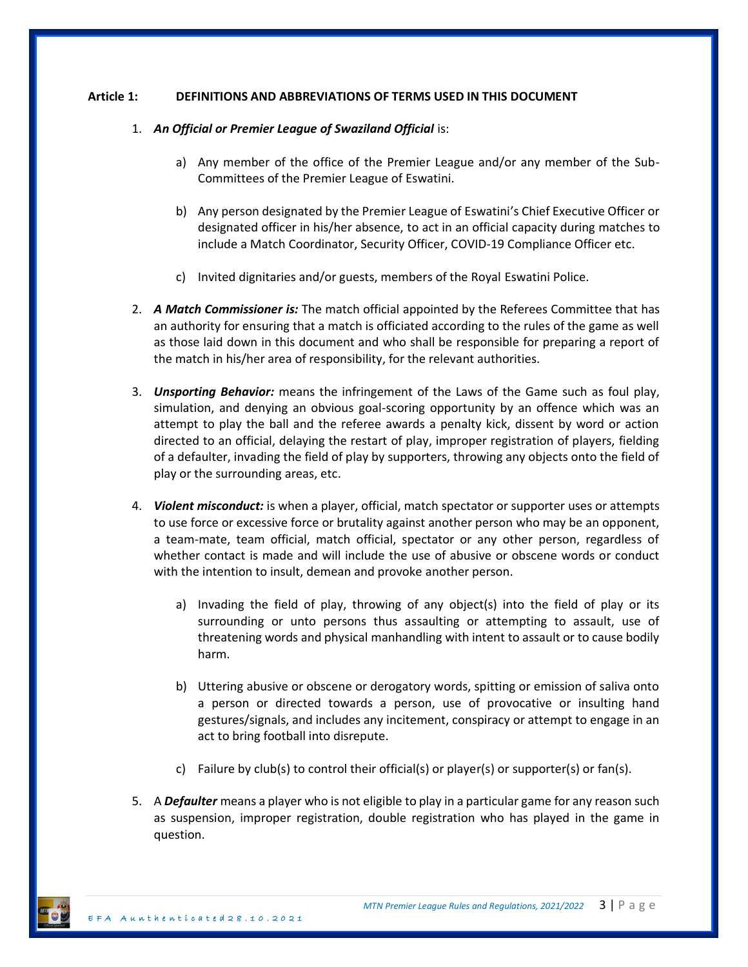## **Article 1: DEFINITIONS AND ABBREVIATIONS OF TERMS USED IN THIS DOCUMENT**

#### 1. *An Official or Premier League of Swaziland Official* is:

- a) Any member of the office of the Premier League and/or any member of the Sub-Committees of the Premier League of Eswatini.
- b) Any person designated by the Premier League of Eswatini's Chief Executive Officer or designated officer in his/her absence, to act in an official capacity during matches to include a Match Coordinator, Security Officer, COVID-19 Compliance Officer etc.
- c) Invited dignitaries and/or guests, members of the Royal Eswatini Police.
- 2. *A Match Commissioner is:* The match official appointed by the Referees Committee that has an authority for ensuring that a match is officiated according to the rules of the game as well as those laid down in this document and who shall be responsible for preparing a report of the match in his/her area of responsibility, for the relevant authorities.
- 3. *Unsporting Behavior:* means the infringement of the Laws of the Game such as foul play, simulation, and denying an obvious goal-scoring opportunity by an offence which was an attempt to play the ball and the referee awards a penalty kick, dissent by word or action directed to an official, delaying the restart of play, improper registration of players, fielding of a defaulter, invading the field of play by supporters, throwing any objects onto the field of play or the surrounding areas, etc.
- 4. *Violent misconduct:* is when a player, official, match spectator or supporter uses or attempts to use force or excessive force or brutality against another person who may be an opponent, a team-mate, team official, match official, spectator or any other person, regardless of whether contact is made and will include the use of abusive or obscene words or conduct with the intention to insult, demean and provoke another person.
	- a) Invading the field of play, throwing of any object(s) into the field of play or its surrounding or unto persons thus assaulting or attempting to assault, use of threatening words and physical manhandling with intent to assault or to cause bodily harm.
	- b) Uttering abusive or obscene or derogatory words, spitting or emission of saliva onto a person or directed towards a person, use of provocative or insulting hand gestures/signals, and includes any incitement, conspiracy or attempt to engage in an act to bring football into disrepute.
	- c) Failure by club(s) to control their official(s) or player(s) or supporter(s) or fan(s).
- 5. A *Defaulter* means a player who is not eligible to play in a particular game for any reason such as suspension, improper registration, double registration who has played in the game in question.

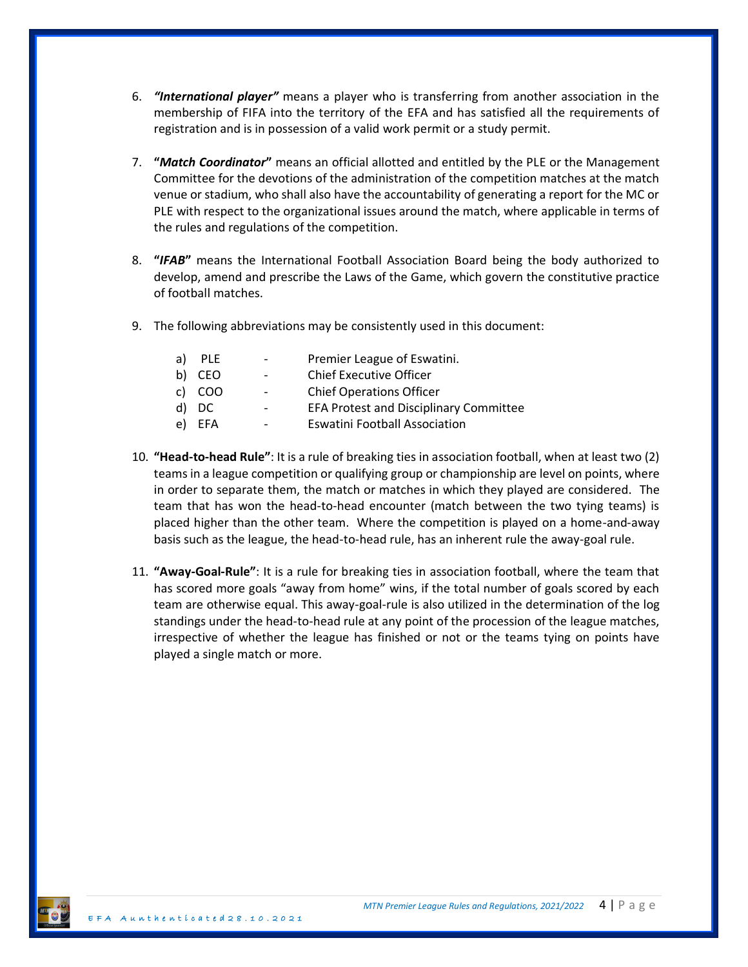- 6. *"International player"* means a player who is transferring from another association in the membership of FIFA into the territory of the EFA and has satisfied all the requirements of registration and is in possession of a valid work permit or a study permit.
- 7. **"***Match Coordinator***"** means an official allotted and entitled by the PLE or the Management Committee for the devotions of the administration of the competition matches at the match venue or stadium, who shall also have the accountability of generating a report for the MC or PLE with respect to the organizational issues around the match, where applicable in terms of the rules and regulations of the competition.
- 8. **"***IFAB***"** means the International Football Association Board being the body authorized to develop, amend and prescribe the Laws of the Game, which govern the constitutive practice of football matches.
- 9. The following abbreviations may be consistently used in this document:

| a) PLE | $\overline{\phantom{0}}$ | Premier League of Eswatini.                   |
|--------|--------------------------|-----------------------------------------------|
| b) CEO | $\sim$                   | <b>Chief Executive Officer</b>                |
| c) COO | $\overline{a}$           | <b>Chief Operations Officer</b>               |
| d) DC  | $\overline{\phantom{0}}$ | <b>EFA Protest and Disciplinary Committee</b> |
| e) EFA | $\overline{\phantom{0}}$ | <b>Eswatini Football Association</b>          |

- 10. **"Head-to-head Rule"**: It is a rule of breaking ties in association football, when at least two (2) teams in a league competition or qualifying group or championship are level on points, where in order to separate them, the match or matches in which they played are considered. The team that has won the head-to-head encounter (match between the two tying teams) is placed higher than the other team. Where the competition is played on a home-and-away basis such as the league, the head-to-head rule, has an inherent rule the away-goal rule.
- 11. **"Away-Goal-Rule"**: It is a rule for breaking ties in association football, where the team that has scored more goals "away from home" wins, if the total number of goals scored by each team are otherwise equal. This away-goal-rule is also utilized in the determination of the log standings under the head-to-head rule at any point of the procession of the league matches, irrespective of whether the league has finished or not or the teams tying on points have played a single match or more.

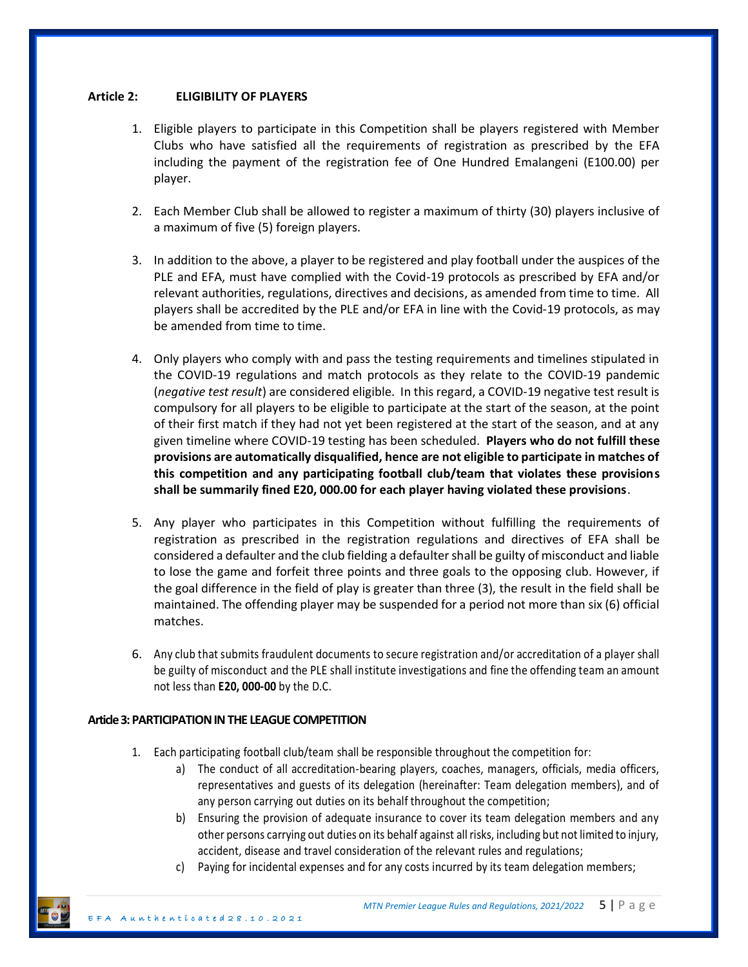## **Article 2: ELIGIBILITY OF PLAYERS**

- 1. Eligible players to participate in this Competition shall be players registered with Member Clubs who have satisfied all the requirements of registration as prescribed by the EFA including the payment of the registration fee of One Hundred Emalangeni (E100.00) per player.
- 2. Each Member Club shall be allowed to register a maximum of thirty (30) players inclusive of a maximum of five (5) foreign players.
- 3. In addition to the above, a player to be registered and play football under the auspices of the PLE and EFA, must have complied with the Covid-19 protocols as prescribed by EFA and/or relevant authorities, regulations, directives and decisions, as amended from time to time. All players shall be accredited by the PLE and/or EFA in line with the Covid-19 protocols, as may be amended from time to time.
- 4. Only players who comply with and pass the testing requirements and timelines stipulated in the COVID-19 regulations and match protocols as they relate to the COVID-19 pandemic (*negative test result*) are considered eligible. In this regard, a COVID-19 negative test result is compulsory for all players to be eligible to participate at the start of the season, at the point of their first match if they had not yet been registered at the start of the season, and at any given timeline where COVID-19 testing has been scheduled. **Players who do not fulfill these provisions are automatically disqualified, hence are not eligible to participate in matches of this competition and any participating football club/team that violates these provisions shall be summarily fined E20, 000.00 for each player having violated these provisions**.
- 5. Any player who participates in this Competition without fulfilling the requirements of registration as prescribed in the registration regulations and directives of EFA shall be considered a defaulter and the club fielding a defaulter shall be guilty of misconduct and liable to lose the game and forfeit three points and three goals to the opposing club. However, if the goal difference in the field of play is greater than three (3), the result in the field shall be maintained. The offending player may be suspended for a period not more than six (6) official matches.
- 6. Any club that submits fraudulent documents to secure registration and/or accreditation of a player shall be guilty of misconduct and the PLE shall institute investigations and fine the offending team an amount not less than **E20, 000-00** by the D.C.

#### **Article 3: PARTICIPATION IN THE LEAGUE COMPETITION**

- 1. Each participating football club/team shall be responsible throughout the competition for:
	- a) The conduct of all accreditation-bearing players, coaches, managers, officials, media officers, representatives and guests of its delegation (hereinafter: Team delegation members), and of any person carrying out duties on its behalf throughout the competition;
	- b) Ensuring the provision of adequate insurance to cover its team delegation members and any other persons carrying out duties on its behalf against all risks, including but not limited to injury, accident, disease and travel consideration of the relevant rules and regulations;
	- c) Paying for incidental expenses and for any costs incurred by its team delegation members;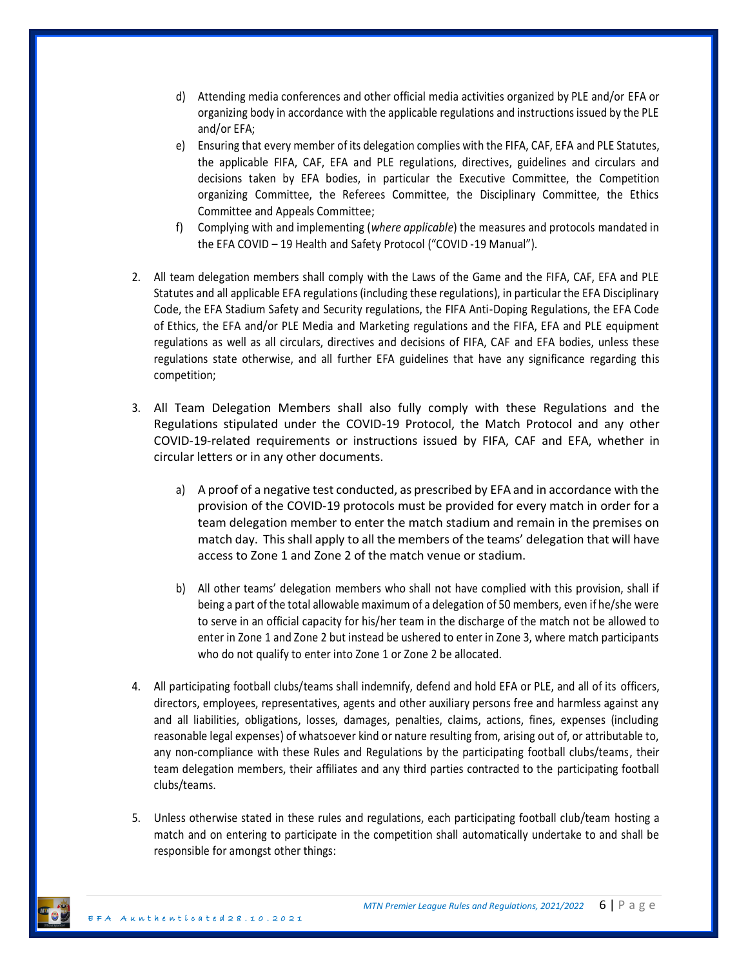- d) Attending media conferences and other official media activities organized by PLE and/or EFA or organizing body in accordance with the applicable regulations and instructions issued by the PLE and/or EFA;
- e) Ensuring that every member of its delegation complies with the FIFA, CAF, EFA and PLE Statutes, the applicable FIFA, CAF, EFA and PLE regulations, directives, guidelines and circulars and decisions taken by EFA bodies, in particular the Executive Committee, the Competition organizing Committee, the Referees Committee, the Disciplinary Committee, the Ethics Committee and Appeals Committee;
- f) Complying with and implementing (*where applicable*) the measures and protocols mandated in the EFA COVID – 19 Health and Safety Protocol ("COVID -19 Manual").
- 2. All team delegation members shall comply with the Laws of the Game and the FIFA, CAF, EFA and PLE Statutes and all applicable EFA regulations (including these regulations), in particular the EFA Disciplinary Code, the EFA Stadium Safety and Security regulations, the FIFA Anti-Doping Regulations, the EFA Code of Ethics, the EFA and/or PLE Media and Marketing regulations and the FIFA, EFA and PLE equipment regulations as well as all circulars, directives and decisions of FIFA, CAF and EFA bodies, unless these regulations state otherwise, and all further EFA guidelines that have any significance regarding this competition;
- 3. All Team Delegation Members shall also fully comply with these Regulations and the Regulations stipulated under the COVID-19 Protocol, the Match Protocol and any other COVID-19-related requirements or instructions issued by FIFA, CAF and EFA, whether in circular letters or in any other documents.
	- a) A proof of a negative test conducted, as prescribed by EFA and in accordance with the provision of the COVID-19 protocols must be provided for every match in order for a team delegation member to enter the match stadium and remain in the premises on match day. This shall apply to all the members of the teams' delegation that will have access to Zone 1 and Zone 2 of the match venue or stadium.
	- b) All other teams' delegation members who shall not have complied with this provision, shall if being a part of the total allowable maximum of a delegation of 50 members, even if he/she were to serve in an official capacity for his/her team in the discharge of the match not be allowed to enter in Zone 1 and Zone 2 but instead be ushered to enter in Zone 3, where match participants who do not qualify to enter into Zone 1 or Zone 2 be allocated.
- 4. All participating football clubs/teams shall indemnify, defend and hold EFA or PLE, and all of its officers, directors, employees, representatives, agents and other auxiliary persons free and harmless against any and all liabilities, obligations, losses, damages, penalties, claims, actions, fines, expenses (including reasonable legal expenses) of whatsoever kind or nature resulting from, arising out of, or attributable to, any non-compliance with these Rules and Regulations by the participating football clubs/teams, their team delegation members, their affiliates and any third parties contracted to the participating football clubs/teams.
- 5. Unless otherwise stated in these rules and regulations, each participating football club/team hosting a match and on entering to participate in the competition shall automatically undertake to and shall be responsible for amongst other things:

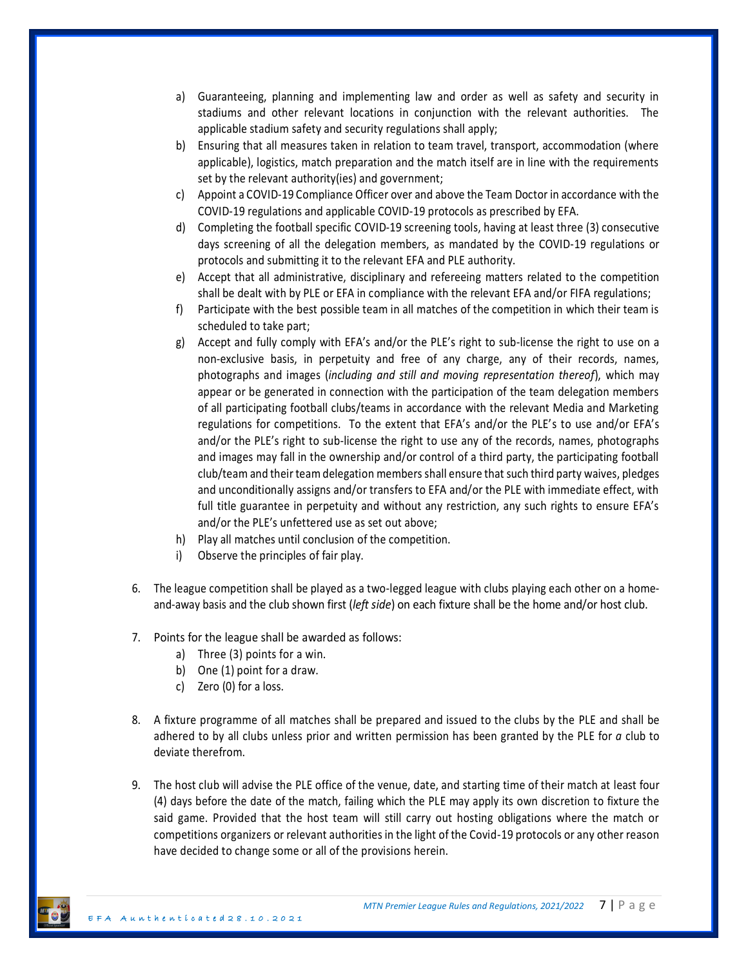- a) Guaranteeing, planning and implementing law and order as well as safety and security in stadiums and other relevant locations in conjunction with the relevant authorities. The applicable stadium safety and security regulations shall apply;
- b) Ensuring that all measures taken in relation to team travel, transport, accommodation (where applicable), logistics, match preparation and the match itself are in line with the requirements set by the relevant authority(ies) and government;
- c) Appoint a COVID-19 Compliance Officer over and above the Team Doctor in accordance with the COVID-19 regulations and applicable COVID-19 protocols as prescribed by EFA.
- d) Completing the football specific COVID-19 screening tools, having at least three (3) consecutive days screening of all the delegation members, as mandated by the COVID-19 regulations or protocols and submitting it to the relevant EFA and PLE authority.
- e) Accept that all administrative, disciplinary and refereeing matters related to the competition shall be dealt with by PLE or EFA in compliance with the relevant EFA and/or FIFA regulations;
- f) Participate with the best possible team in all matches of the competition in which their team is scheduled to take part;
- g) Accept and fully comply with EFA's and/or the PLE's right to sub-license the right to use on a non-exclusive basis, in perpetuity and free of any charge, any of their records, names, photographs and images (*including and still and moving representation thereof*), which may appear or be generated in connection with the participation of the team delegation members of all participating football clubs/teams in accordance with the relevant Media and Marketing regulations for competitions. To the extent that EFA's and/or the PLE's to use and/or EFA's and/or the PLE's right to sub-license the right to use any of the records, names, photographs and images may fall in the ownership and/or control of a third party, the participating football club/team and their team delegation members shall ensure that such third party waives, pledges and unconditionally assigns and/or transfers to EFA and/or the PLE with immediate effect, with full title guarantee in perpetuity and without any restriction, any such rights to ensure EFA's and/or the PLE's unfettered use as set out above;
- h) Play all matches until conclusion of the competition.
- i) Observe the principles of fair play.
- 6. The league competition shall be played as a two-legged league with clubs playing each other on a homeand-away basis and the club shown first (*left side*) on each fixture shall be the home and/or host club.
- 7. Points for the league shall be awarded as follows:
	- a) Three (3) points for a win.
	- b) One (1) point for a draw.
	- c) Zero (0) for a loss.
- 8. A fixture programme of all matches shall be prepared and issued to the clubs by the PLE and shall be adhered to by all clubs unless prior and written permission has been granted by the PLE for *a* club to deviate therefrom.
- 9. The host club will advise the PLE office of the venue, date, and starting time of their match at least four (4) days before the date of the match, failing which the PLE may apply its own discretion to fixture the said game. Provided that the host team will still carry out hosting obligations where the match or competitions organizers or relevant authorities in the light of the Covid-19 protocols or any other reason have decided to change some or all of the provisions herein.

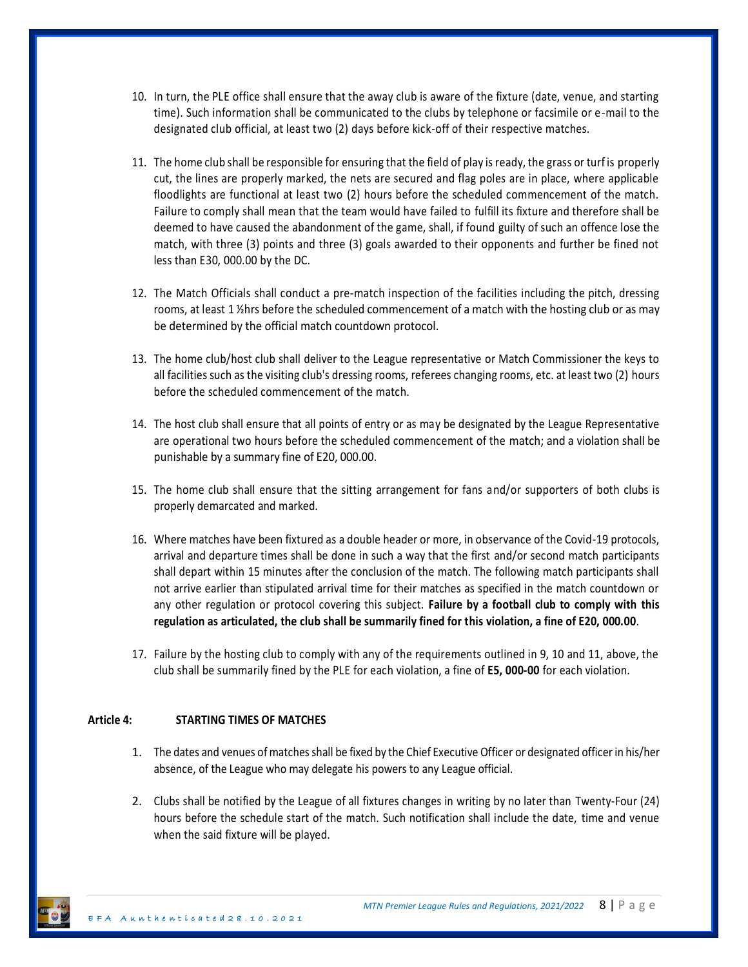- 10. In turn, the PLE office shall ensure that the away club is aware of the fixture (date, venue, and starting time). Such information shall be communicated to the clubs by telephone or facsimile or e-mail to the designated club official, at least two (2) days before kick-off of their respective matches.
- 11. The home club shall be responsible for ensuring that the field of play is ready, the grass or turf is properly cut, the lines are properly marked, the nets are secured and flag poles are in place, where applicable floodlights are functional at least two (2) hours before the scheduled commencement of the match. Failure to comply shall mean that the team would have failed to fulfill its fixture and therefore shall be deemed to have caused the abandonment of the game, shall, if found guilty of such an offence lose the match, with three (3) points and three (3) goals awarded to their opponents and further be fined not less than E30, 000.00 by the DC.
- 12. The Match Officials shall conduct a pre-match inspection of the facilities including the pitch, dressing rooms, at least 1 ½hrs before the scheduled commencement of a match with the hosting club or as may be determined by the official match countdown protocol.
- 13. The home club/host club shall deliver to the League representative or Match Commissioner the keys to all facilities such as the visiting club's dressing rooms, referees changing rooms, etc. at least two (2) hours before the scheduled commencement of the match.
- 14. The host club shall ensure that all points of entry or as may be designated by the League Representative are operational two hours before the scheduled commencement of the match; and a violation shall be punishable by a summary fine of E20, 000.00.
- 15. The home club shall ensure that the sitting arrangement for fans and/or supporters of both clubs is properly demarcated and marked.
- 16. Where matches have been fixtured as a double header or more, in observance of the Covid-19 protocols, arrival and departure times shall be done in such a way that the first and/or second match participants shall depart within 15 minutes after the conclusion of the match. The following match participants shall not arrive earlier than stipulated arrival time for their matches as specified in the match countdown or any other regulation or protocol covering this subject. **Failure by a football club to comply with this regulation as articulated, the club shall be summarily fined for this violation, a fine of E20, 000.00**.
- 17. Failure by the hosting club to comply with any of the requirements outlined in 9, 10 and 11, above, the club shall be summarily fined by the PLE for each violation, a fine of **E5, 000-00** for each violation.

#### **Article 4: STARTING TIMES OF MATCHES**

- 1. The dates and venues of matches shall be fixed by the Chief Executive Officer or designated officer in his/her absence, of the League who may delegate his powers to any League official.
- 2. Clubs shall be notified by the League of all fixtures changes in writing by no later than Twenty-Four (24) hours before the schedule start of the match. Such notification shall include the date, time and venue when the said fixture will be played.

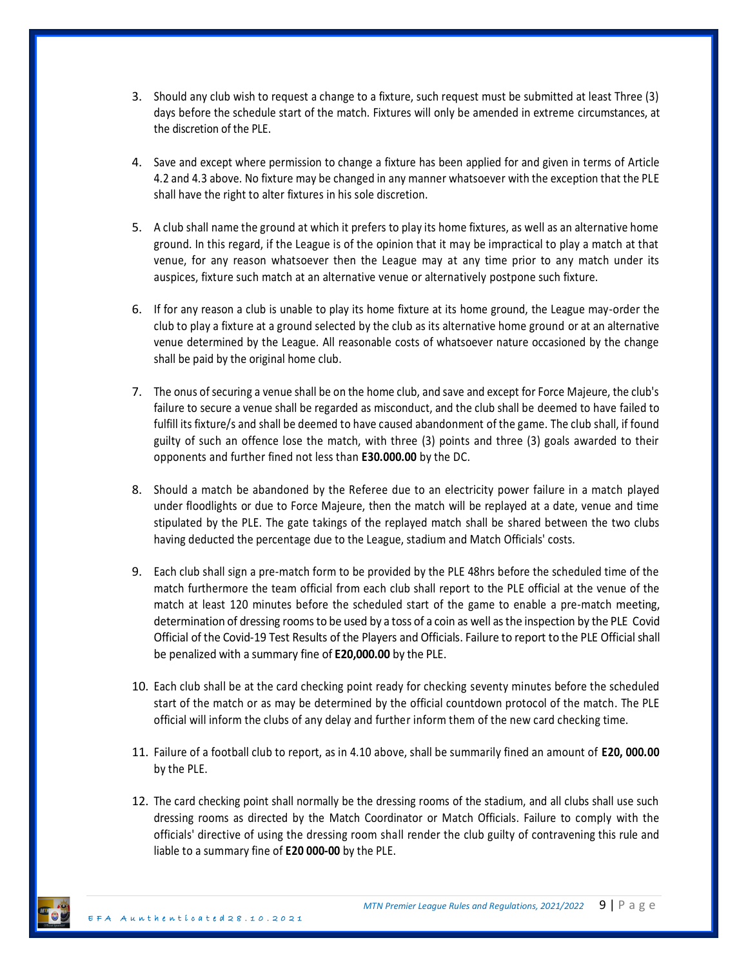- 3. Should any club wish to request a change to a fixture, such request must be submitted at least Three (3) days before the schedule start of the match. Fixtures will only be amended in extreme circumstances, at the discretion of the PLE.
- 4. Save and except where permission to change a fixture has been applied for and given in terms of Article 4.2 and 4.3 above. No fixture may be changed in any manner whatsoever with the exception that the PLE shall have the right to alter fixtures in his sole discretion.
- 5. A club shall name the ground at which it prefers to play its home fixtures, as well as an alternative home ground. In this regard, if the League is of the opinion that it may be impractical to play a match at that venue, for any reason whatsoever then the League may at any time prior to any match under its auspices, fixture such match at an alternative venue or alternatively postpone such fixture.
- 6. If for any reason a club is unable to play its home fixture at its home ground, the League may-order the club to play a fixture at a ground selected by the club as its alternative home ground or at an alternative venue determined by the League. All reasonable costs of whatsoever nature occasioned by the change shall be paid by the original home club.
- 7. The onus of securing a venue shall be on the home club, and save and except for Force Majeure, the club's failure to secure a venue shall be regarded as misconduct, and the club shall be deemed to have failed to fulfill its fixture/s and shall be deemed to have caused abandonment of the game. The club shall, if found guilty of such an offence lose the match, with three (3) points and three (3) goals awarded to their opponents and further fined not less than **E30.000.00** by the DC.
- 8. Should a match be abandoned by the Referee due to an electricity power failure in a match played under floodlights or due to Force Majeure, then the match will be replayed at a date, venue and time stipulated by the PLE. The gate takings of the replayed match shall be shared between the two clubs having deducted the percentage due to the League, stadium and Match Officials' costs.
- 9. Each club shall sign a pre-match form to be provided by the PLE 48hrs before the scheduled time of the match furthermore the team official from each club shall report to the PLE official at the venue of the match at least 120 minutes before the scheduled start of the game to enable a pre-match meeting, determination of dressing rooms to be used by a toss of a coin as well as the inspection by the PLE Covid Official of the Covid-19 Test Results of the Players and Officials. Failure to report to the PLE Official shall be penalized with a summary fine of **E20,000.00** by the PLE.
- 10. Each club shall be at the card checking point ready for checking seventy minutes before the scheduled start of the match or as may be determined by the official countdown protocol of the match. The PLE official will inform the clubs of any delay and further inform them of the new card checking time.
- 11. Failure of a football club to report, as in 4.10 above, shall be summarily fined an amount of **E20, 000.00**  by the PLE.
- 12. The card checking point shall normally be the dressing rooms of the stadium, and all clubs shall use such dressing rooms as directed by the Match Coordinator or Match Officials. Failure to comply with the officials' directive of using the dressing room shall render the club guilty of contravening this rule and liable to a summary fine of **E20 000-00** by the PLE.

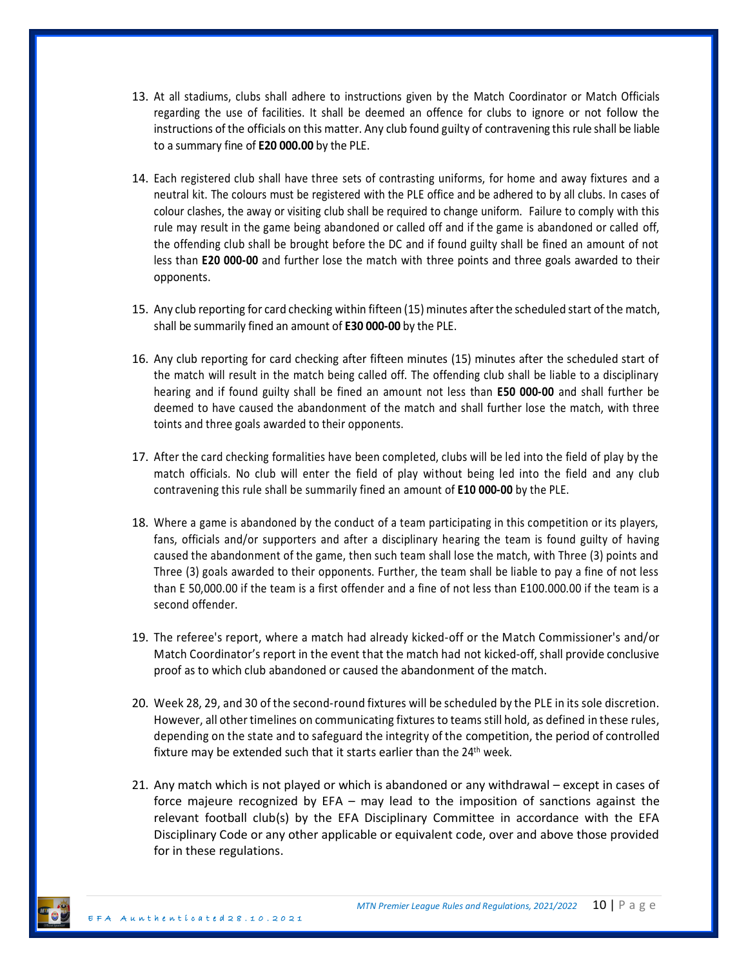- 13. At all stadiums, clubs shall adhere to instructions given by the Match Coordinator or Match Officials regarding the use of facilities. It shall be deemed an offence for clubs to ignore or not follow the instructions of the officials on this matter. Any club found guilty of contravening this rule shall be liable to a summary fine of **E20 000.00** by the PLE.
- 14. Each registered club shall have three sets of contrasting uniforms, for home and away fixtures and a neutral kit. The colours must be registered with the PLE office and be adhered to by all clubs. In cases of colour clashes, the away or visiting club shall be required to change uniform. Failure to comply with this rule may result in the game being abandoned or called off and if the game is abandoned or called off, the offending club shall be brought before the DC and if found guilty shall be fined an amount of not less than **E20 000-00** and further lose the match with three points and three goals awarded to their opponents.
- 15. Any club reporting for card checking within fifteen (15) minutes after the scheduled start of the match, shall be summarily fined an amount of **E30 000-00** by the PLE.
- 16. Any club reporting for card checking after fifteen minutes (15) minutes after the scheduled start of the match will result in the match being called off. The offending club shall be liable to a disciplinary hearing and if found guilty shall be fined an amount not less than **E50 000-00** and shall further be deemed to have caused the abandonment of the match and shall further lose the match, with three toints and three goals awarded to their opponents.
- 17. After the card checking formalities have been completed, clubs will be led into the field of play by the match officials. No club will enter the field of play without being led into the field and any club contravening this rule shall be summarily fined an amount of **E10 000-00** by the PLE.
- 18. Where a game is abandoned by the conduct of a team participating in this competition or its players, fans, officials and/or supporters and after a disciplinary hearing the team is found guilty of having caused the abandonment of the game, then such team shall lose the match, with Three (3) points and Three (3) goals awarded to their opponents. Further, the team shall be liable to pay a fine of not less than E 50,000.00 if the team is a first offender and a fine of not less than E100.000.00 if the team is a second offender.
- 19. The referee's report, where a match had already kicked-off or the Match Commissioner's and/or Match Coordinator's report in the event that the match had not kicked-off, shall provide conclusive proof as to which club abandoned or caused the abandonment of the match.
- 20. Week 28, 29, and 30 of the second-round fixtures will be scheduled by the PLE in its sole discretion. However, all other timelines on communicating fixtures to teams still hold, as defined in these rules, depending on the state and to safeguard the integrity of the competition, the period of controlled fixture may be extended such that it starts earlier than the 24<sup>th</sup> week.
- 21. Any match which is not played or which is abandoned or any withdrawal except in cases of force majeure recognized by EFA – may lead to the imposition of sanctions against the relevant football club(s) by the EFA Disciplinary Committee in accordance with the EFA Disciplinary Code or any other applicable or equivalent code, over and above those provided for in these regulations.

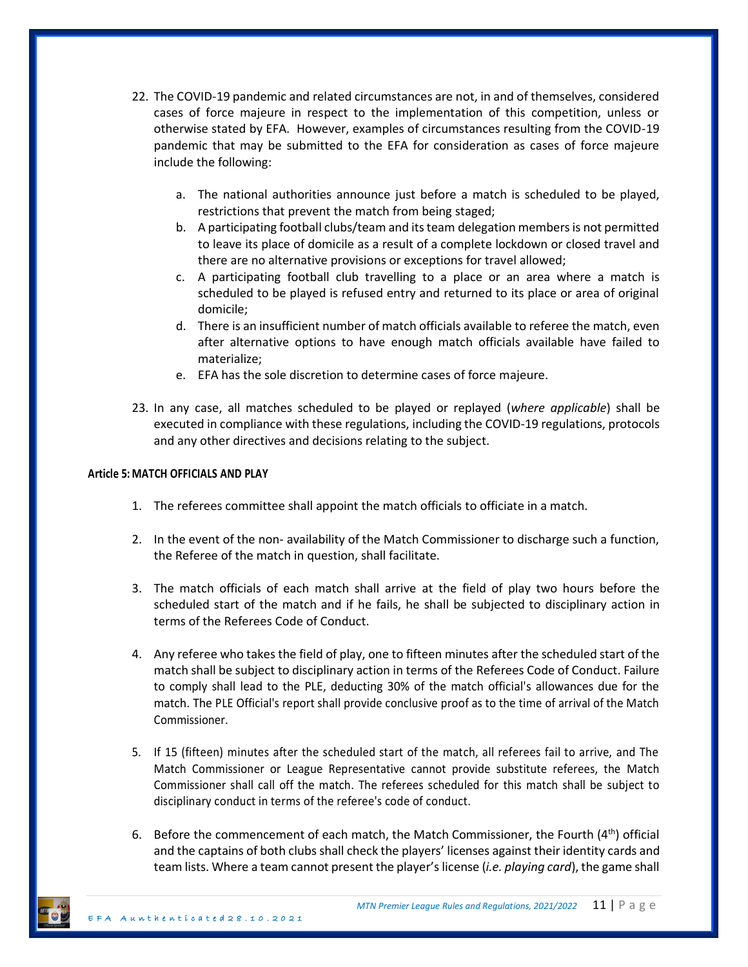- 22. The COVID-19 pandemic and related circumstances are not, in and of themselves, considered cases of force majeure in respect to the implementation of this competition, unless or otherwise stated by EFA. However, examples of circumstances resulting from the COVID-19 pandemic that may be submitted to the EFA for consideration as cases of force majeure include the following:
	- a. The national authorities announce just before a match is scheduled to be played, restrictions that prevent the match from being staged;
	- b. A participating football clubs/team and itsteam delegation members is not permitted to leave its place of domicile as a result of a complete lockdown or closed travel and there are no alternative provisions or exceptions for travel allowed;
	- c. A participating football club travelling to a place or an area where a match is scheduled to be played is refused entry and returned to its place or area of original domicile;
	- d. There is an insufficient number of match officials available to referee the match, even after alternative options to have enough match officials available have failed to materialize;
	- e. EFA has the sole discretion to determine cases of force majeure.
- 23. In any case, all matches scheduled to be played or replayed (*where applicable*) shall be executed in compliance with these regulations, including the COVID-19 regulations, protocols and any other directives and decisions relating to the subject.

#### **Article 5: MATCH OFFICIALS AND PLAY**

- 1. The referees committee shall appoint the match officials to officiate in a match.
- 2. In the event of the non- availability of the Match Commissioner to discharge such a function, the Referee of the match in question, shall facilitate.
- 3. The match officials of each match shall arrive at the field of play two hours before the scheduled start of the match and if he fails, he shall be subjected to disciplinary action in terms of the Referees Code of Conduct.
- 4. Any referee who takes the field of play, one to fifteen minutes after the scheduled start of the match shall be subject to disciplinary action in terms of the Referees Code of Conduct. Failure to comply shall lead to the PLE, deducting 30% of the match official's allowances due for the match. The PLE Official's report shall provide conclusive proof as to the time of arrival of the Match Commissioner.
- 5. If 15 (fifteen) minutes after the scheduled start of the match, all referees fail to arrive, and The Match Commissioner or League Representative cannot provide substitute referees, the Match Commissioner shall call off the match. The referees scheduled for this match shall be subject to disciplinary conduct in terms of the referee's code of conduct.
- 6. Before the commencement of each match, the Match Commissioner, the Fourth  $(4<sup>th</sup>)$  official and the captains of both clubs shall check the players' licenses against their identity cards and team lists. Where a team cannot present the player's license (*i.e. playing card*), the game shall

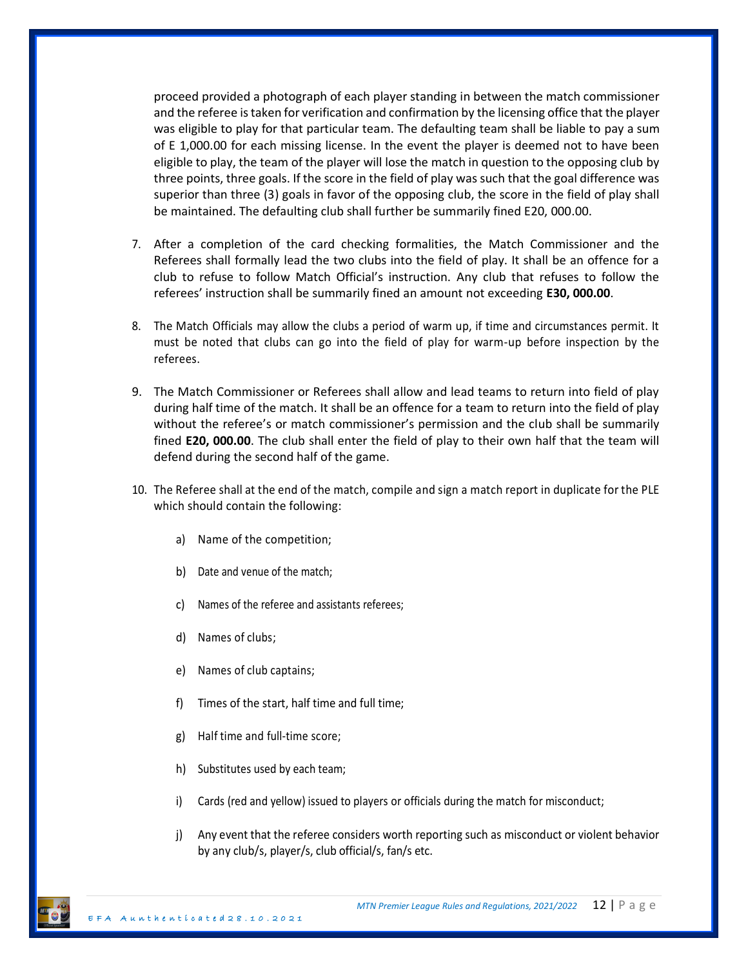proceed provided a photograph of each player standing in between the match commissioner and the referee istaken for verification and confirmation by the licensing office that the player was eligible to play for that particular team. The defaulting team shall be liable to pay a sum of E 1,000.00 for each missing license. In the event the player is deemed not to have been eligible to play, the team of the player will lose the match in question to the opposing club by three points, three goals. If the score in the field of play was such that the goal difference was superior than three (3) goals in favor of the opposing club, the score in the field of play shall be maintained. The defaulting club shall further be summarily fined E20, 000.00.

- 7. After a completion of the card checking formalities, the Match Commissioner and the Referees shall formally lead the two clubs into the field of play. It shall be an offence for a club to refuse to follow Match Official's instruction. Any club that refuses to follow the referees' instruction shall be summarily fined an amount not exceeding **E30, 000.00**.
- 8. The Match Officials may allow the clubs a period of warm up, if time and circumstances permit. It must be noted that clubs can go into the field of play for warm-up before inspection by the referees.
- 9. The Match Commissioner or Referees shall allow and lead teams to return into field of play during half time of the match. It shall be an offence for a team to return into the field of play without the referee's or match commissioner's permission and the club shall be summarily fined **E20, 000.00**. The club shall enter the field of play to their own half that the team will defend during the second half of the game.
- 10. The Referee shall at the end of the match, compile and sign a match report in duplicate for the PLE which should contain the following:
	- a) Name of the competition;
	- b) Date and venue of the match;
	- c) Names of the referee and assistants referees;
	- d) Names of clubs;
	- e) Names of club captains;
	- f) Times of the start, half time and full time;
	- g) Half time and full-time score;
	- h) Substitutes used by each team;
	- i) Cards (red and yellow) issued to players or officials during the match for misconduct;
	- j) Any event that the referee considers worth reporting such as misconduct or violent behavior by any club/s, player/s, club official/s, fan/s etc.

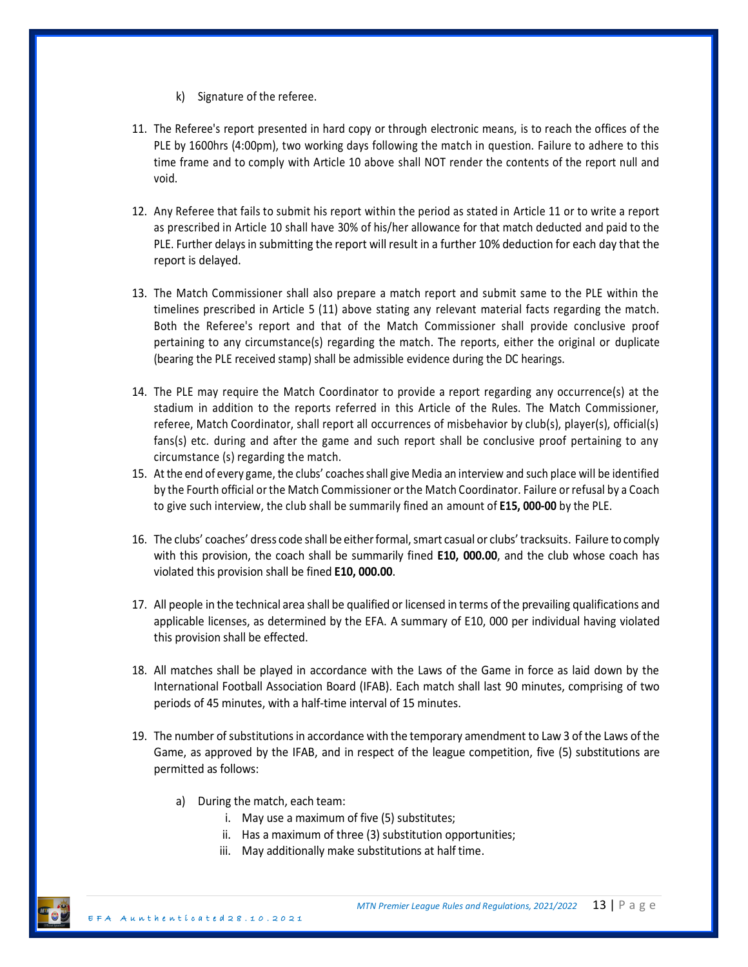- k) Signature of the referee.
- 11. The Referee's report presented in hard copy or through electronic means, is to reach the offices of the PLE by 1600hrs (4:00pm), two working days following the match in question. Failure to adhere to this time frame and to comply with Article 10 above shall NOT render the contents of the report null and void.
- 12. Any Referee that fails to submit his report within the period as stated in Article 11 or to write a report as prescribed in Article 10 shall have 30% of his/her allowance for that match deducted and paid to the PLE. Further delays in submitting the report will result in a further 10% deduction for each day that the report is delayed.
- 13. The Match Commissioner shall also prepare a match report and submit same to the PLE within the timelines prescribed in Article 5 (11) above stating any relevant material facts regarding the match. Both the Referee's report and that of the Match Commissioner shall provide conclusive proof pertaining to any circumstance(s) regarding the match. The reports, either the original or duplicate (bearing the PLE received stamp) shall be admissible evidence during the DC hearings.
- 14. The PLE may require the Match Coordinator to provide a report regarding any occurrence(s) at the stadium in addition to the reports referred in this Article of the Rules. The Match Commissioner, referee, Match Coordinator, shall report all occurrences of misbehavior by club(s), player(s), official(s) fans(s) etc. during and after the game and such report shall be conclusive proof pertaining to any circumstance (s) regarding the match.
- 15. At the end of every game, the clubs' coaches shall give Media an interview and such place will be identified by the Fourth official or the Match Commissioner or the Match Coordinator. Failure or refusal by a Coach to give such interview, the club shall be summarily fined an amount of **E15, 000-00** by the PLE.
- 16. The clubs' coaches' dress code shall be either formal, smart casual or clubs' tracksuits. Failure to comply with this provision, the coach shall be summarily fined **E10, 000.00**, and the club whose coach has violated this provision shall be fined **E10, 000.00**.
- 17. All people in the technical area shall be qualified or licensed in terms of the prevailing qualifications and applicable licenses, as determined by the EFA. A summary of E10, 000 per individual having violated this provision shall be effected.
- 18. All matches shall be played in accordance with the Laws of the Game in force as laid down by the International Football Association Board (IFAB). Each match shall last 90 minutes, comprising of two periods of 45 minutes, with a half-time interval of 15 minutes.
- 19. The number of substitutions in accordance with the temporary amendment to Law 3 of the Laws of the Game, as approved by the IFAB, and in respect of the league competition, five (5) substitutions are permitted as follows:
	- a) During the match, each team:
		- i. May use a maximum of five (5) substitutes;
		- ii. Has a maximum of three (3) substitution opportunities;
		- iii. May additionally make substitutions at half time.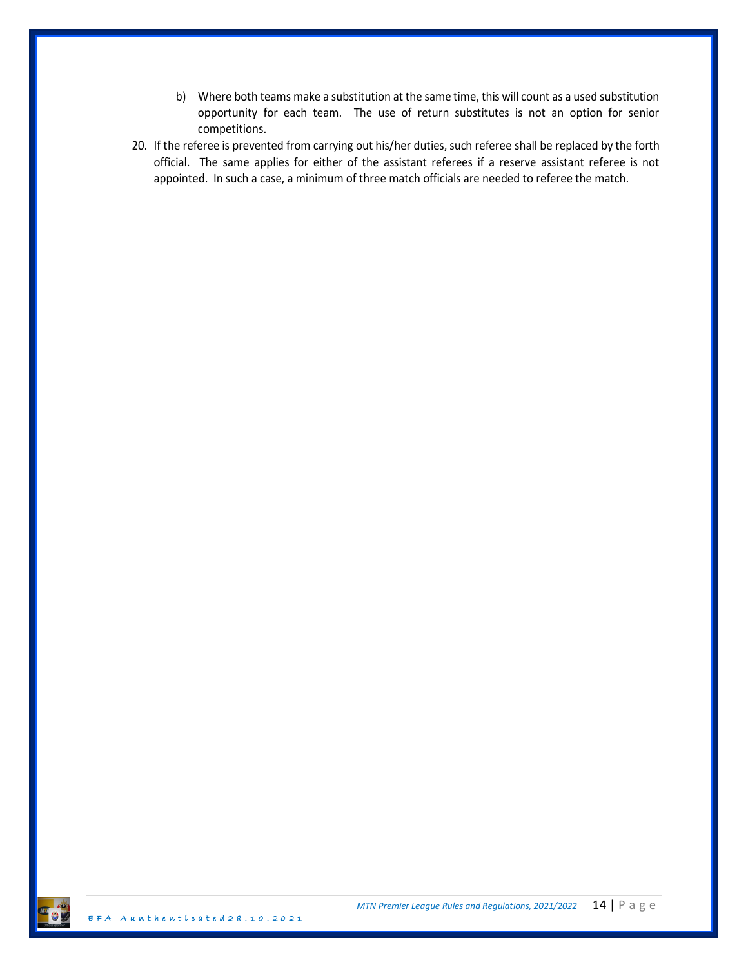- b) Where both teams make a substitution at the same time, this will count as a used substitution opportunity for each team. The use of return substitutes is not an option for senior competitions.
- 20. If the referee is prevented from carrying out his/her duties, such referee shall be replaced by the forth official. The same applies for either of the assistant referees if a reserve assistant referee is not appointed. In such a case, a minimum of three match officials are needed to referee the match.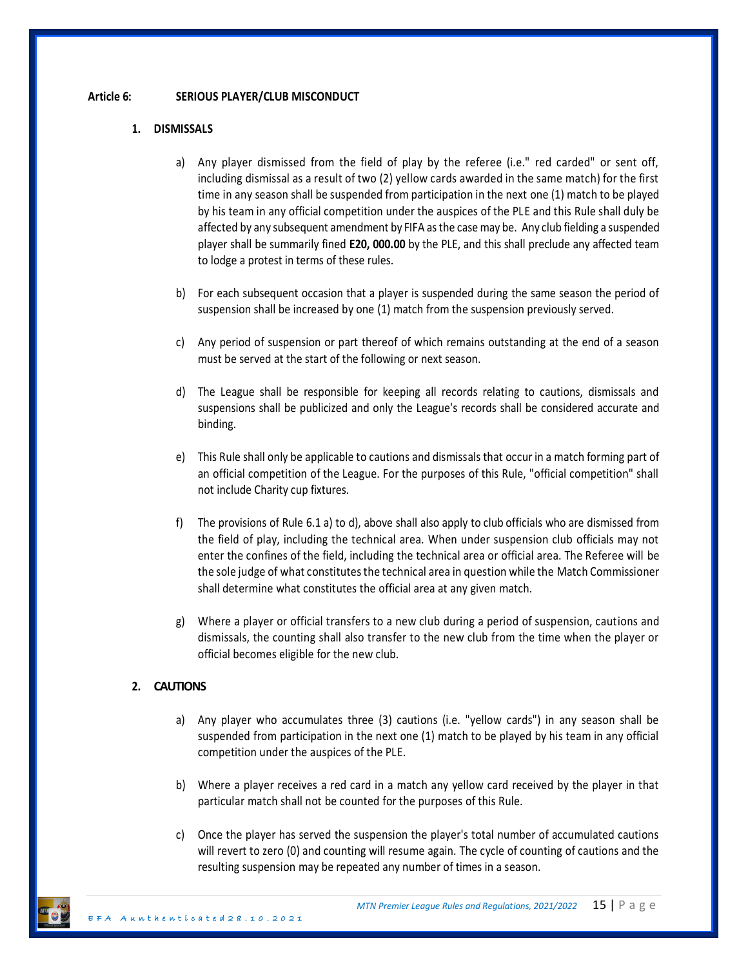#### **Article 6: SERIOUS PLAYER/CLUB MISCONDUCT**

#### **1. DISMISSALS**

- a) Any player dismissed from the field of play by the referee (i.e." red carded" or sent off, including dismissal as a result of two (2) yellow cards awarded in the same match) for the first time in any season shall be suspended from participation in the next one (1) match to be played by his team in any official competition under the auspices of the PLE and this Rule shall duly be affected by any subsequent amendment by FIFA as the case may be. Any club fielding a suspended player shall be summarily fined **E20, 000.00** by the PLE, and this shall preclude any affected team to lodge a protest in terms of these rules.
- b) For each subsequent occasion that a player is suspended during the same season the period of suspension shall be increased by one (1) match from the suspension previously served.
- c) Any period of suspension or part thereof of which remains outstanding at the end of a season must be served at the start of the following or next season.
- d) The League shall be responsible for keeping all records relating to cautions, dismissals and suspensions shall be publicized and only the League's records shall be considered accurate and binding.
- e) This Rule shall only be applicable to cautions and dismissals that occur in a match forming part of an official competition of the League. For the purposes of this Rule, "official competition" shall not include Charity cup fixtures.
- f) The provisions of Rule 6.1 a) to d), above shall also apply to club officials who are dismissed from the field of play, including the technical area. When under suspension club officials may not enter the confines of the field, including the technical area or official area. The Referee will be the sole judge of what constitutes the technical area in question while the Match Commissioner shall determine what constitutes the official area at any given match.
- g) Where a player or official transfers to a new club during a period of suspension, cautions and dismissals, the counting shall also transfer to the new club from the time when the player or official becomes eligible for the new club.

#### **2. CAUTIONS**

- a) Any player who accumulates three (3) cautions (i.e. "yellow cards") in any season shall be suspended from participation in the next one (1) match to be played by his team in any official competition under the auspices of the PLE.
- b) Where a player receives a red card in a match any yellow card received by the player in that particular match shall not be counted for the purposes of this Rule.
- c) Once the player has served the suspension the player's total number of accumulated cautions will revert to zero (0) and counting will resume again. The cycle of counting of cautions and the resulting suspension may be repeated any number of times in a season.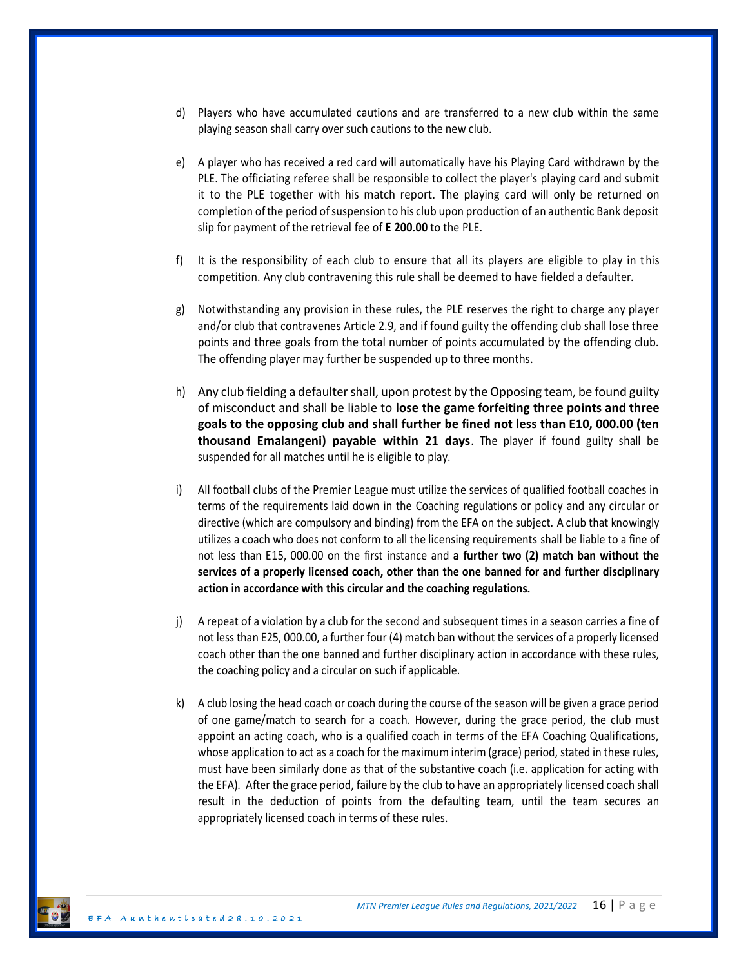- d) Players who have accumulated cautions and are transferred to a new club within the same playing season shall carry over such cautions to the new club.
- e) A player who has received a red card will automatically have his Playing Card withdrawn by the PLE. The officiating referee shall be responsible to collect the player's playing card and submit it to the PLE together with his match report. The playing card will only be returned on completion of the period of suspension to his club upon production of an authentic Bank deposit slip for payment of the retrieval fee of **E 200.00** to the PLE.
- f) It is the responsibility of each club to ensure that all its players are eligible to play in this competition. Any club contravening this rule shall be deemed to have fielded a defaulter.
- g) Notwithstanding any provision in these rules, the PLE reserves the right to charge any player and/or club that contravenes Article 2.9, and if found guilty the offending club shall lose three points and three goals from the total number of points accumulated by the offending club. The offending player may further be suspended up to three months.
- h) Any club fielding a defaulter shall, upon protest by the Opposing team, be found guilty of misconduct and shall be liable to **lose the game forfeiting three points and three goals to the opposing club and shall further be fined not less than E10, 000.00 (ten thousand Emalangeni) payable within 21 days**. The player if found guilty shall be suspended for all matches until he is eligible to play.
- i) All football clubs of the Premier League must utilize the services of qualified football coaches in terms of the requirements laid down in the Coaching regulations or policy and any circular or directive (which are compulsory and binding) from the EFA on the subject. A club that knowingly utilizes a coach who does not conform to all the licensing requirements shall be liable to a fine of not less than E15, 000.00 on the first instance and **a further two (2) match ban without the services of a properly licensed coach, other than the one banned for and further disciplinary action in accordance with this circular and the coaching regulations.**
- j) A repeat of a violation by a club for the second and subsequent times in a season carries a fine of not less than E25, 000.00, a further four (4) match ban without the services of a properly licensed coach other than the one banned and further disciplinary action in accordance with these rules, the coaching policy and a circular on such if applicable.
- k) A club losing the head coach or coach during the course of the season will be given a grace period of one game/match to search for a coach. However, during the grace period, the club must appoint an acting coach, who is a qualified coach in terms of the EFA Coaching Qualifications, whose application to act as a coach for the maximum interim (grace) period, stated in these rules, must have been similarly done as that of the substantive coach (i.e. application for acting with the EFA). After the grace period, failure by the club to have an appropriately licensed coach shall result in the deduction of points from the defaulting team, until the team secures an appropriately licensed coach in terms of these rules.

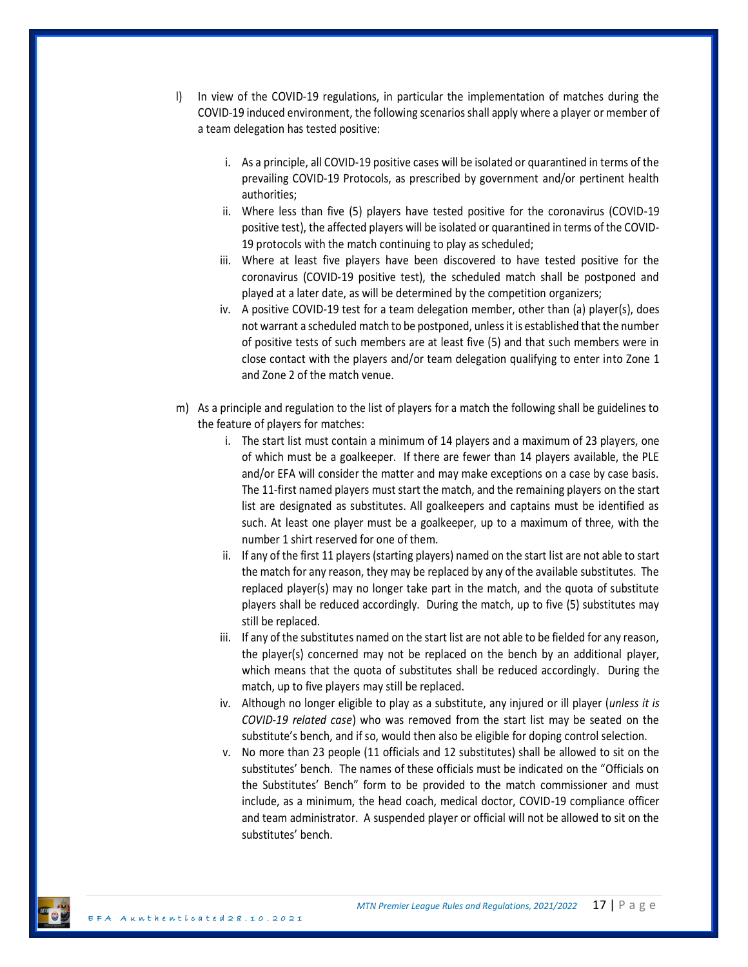- l) In view of the COVID-19 regulations, in particular the implementation of matches during the COVID-19 induced environment, the following scenarios shall apply where a player or member of a team delegation has tested positive:
	- i. As a principle, all COVID-19 positive cases will be isolated or quarantined in terms of the prevailing COVID-19 Protocols, as prescribed by government and/or pertinent health authorities;
	- ii. Where less than five (5) players have tested positive for the coronavirus (COVID-19 positive test), the affected players will be isolated or quarantined in terms of the COVID-19 protocols with the match continuing to play as scheduled;
	- iii. Where at least five players have been discovered to have tested positive for the coronavirus (COVID-19 positive test), the scheduled match shall be postponed and played at a later date, as will be determined by the competition organizers;
	- iv. A positive COVID-19 test for a team delegation member, other than (a) player(s), does not warrant a scheduled match to be postponed, unless it is established that the number of positive tests of such members are at least five (5) and that such members were in close contact with the players and/or team delegation qualifying to enter into Zone 1 and Zone 2 of the match venue.
- m) As a principle and regulation to the list of players for a match the following shall be guidelines to the feature of players for matches:
	- i. The start list must contain a minimum of 14 players and a maximum of 23 players, one of which must be a goalkeeper. If there are fewer than 14 players available, the PLE and/or EFA will consider the matter and may make exceptions on a case by case basis. The 11-first named players must start the match, and the remaining players on the start list are designated as substitutes. All goalkeepers and captains must be identified as such. At least one player must be a goalkeeper, up to a maximum of three, with the number 1 shirt reserved for one of them.
	- ii. If any of the first 11 players (starting players) named on the start list are not able to start the match for any reason, they may be replaced by any of the available substitutes. The replaced player(s) may no longer take part in the match, and the quota of substitute players shall be reduced accordingly. During the match, up to five (5) substitutes may still be replaced.
	- iii. If any of the substitutes named on the start list are not able to be fielded for any reason, the player(s) concerned may not be replaced on the bench by an additional player, which means that the quota of substitutes shall be reduced accordingly. During the match, up to five players may still be replaced.
	- iv. Although no longer eligible to play as a substitute, any injured or ill player (*unless it is COVID-19 related case*) who was removed from the start list may be seated on the substitute's bench, and if so, would then also be eligible for doping control selection.
	- v. No more than 23 people (11 officials and 12 substitutes) shall be allowed to sit on the substitutes' bench. The names of these officials must be indicated on the "Officials on the Substitutes' Bench" form to be provided to the match commissioner and must include, as a minimum, the head coach, medical doctor, COVID-19 compliance officer and team administrator. A suspended player or official will not be allowed to sit on the substitutes' bench.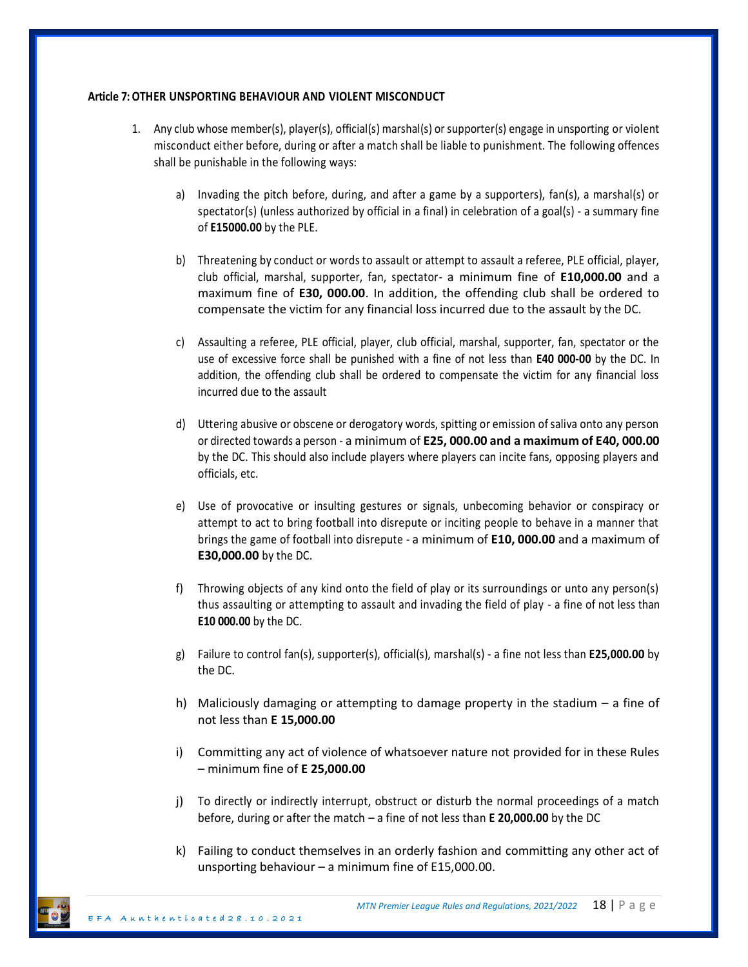#### **Article 7:OTHER UNSPORTING BEHAVIOUR AND VIOLENT MISCONDUCT**

- 1. Any club whose member(s), player(s), official(s) marshal(s) or supporter(s) engage in unsporting or violent misconduct either before, during or after a match shall be liable to punishment. The following offences shall be punishable in the following ways:
	- a) Invading the pitch before, during, and after a game by a supporters), fan(s), a marshal(s) or spectator(s) (unless authorized by official in a final) in celebration of a goal(s) - a summary fine of **E15000.00** by the PLE.
	- b) Threatening by conduct or words to assault or attempt to assault a referee, PLE official, player, club official, marshal, supporter, fan, spectator- a minimum fine of **E10,000.00** and a maximum fine of **E30, 000.00**. In addition, the offending club shall be ordered to compensate the victim for any financial loss incurred due to the assault by the DC.
	- c) Assaulting a referee, PLE official, player, club official, marshal, supporter, fan, spectator or the use of excessive force shall be punished with a fine of not less than **E40 000-00** by the DC. In addition, the offending club shall be ordered to compensate the victim for any financial loss incurred due to the assault
	- d) Uttering abusive or obscene or derogatory words, spitting or emission of saliva onto any person or directed towards a person - a minimum of **E25, 000.00 and a maximum of E40, 000.00** by the DC. This should also include players where players can incite fans, opposing players and officials, etc.
	- e) Use of provocative or insulting gestures or signals, unbecoming behavior or conspiracy or attempt to act to bring football into disrepute or inciting people to behave in a manner that brings the game of football into disrepute - a minimum of **E10, 000.00** and a maximum of **E30,000.00** by the DC.
	- f) Throwing objects of any kind onto the field of play or its surroundings or unto any person(s) thus assaulting or attempting to assault and invading the field of play - a fine of not less than **E10 000.00** by the DC.
	- g) Failure to control fan(s), supporter(s), official(s), marshal(s) a fine not less than **E25,000.00** by the DC.
	- h) Maliciously damaging or attempting to damage property in the stadium a fine of not less than **E 15,000.00**
	- i) Committing any act of violence of whatsoever nature not provided for in these Rules – minimum fine of **E 25,000.00**
	- j) To directly or indirectly interrupt, obstruct or disturb the normal proceedings of a match before, during or after the match – a fine of not less than **E 20,000.00** by the DC
	- k) Failing to conduct themselves in an orderly fashion and committing any other act of unsporting behaviour – a minimum fine of E15,000.00.

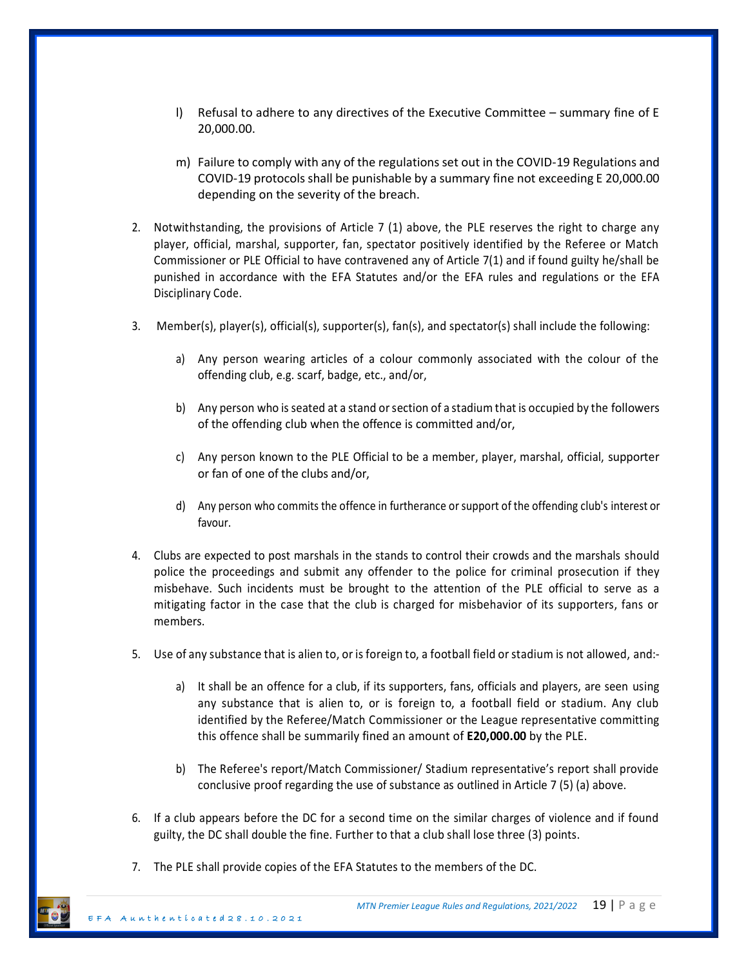- l) Refusal to adhere to any directives of the Executive Committee summary fine of E 20,000.00.
- m) Failure to comply with any of the regulations set out in the COVID-19 Regulations and COVID-19 protocols shall be punishable by a summary fine not exceeding E 20,000.00 depending on the severity of the breach.
- 2. Notwithstanding, the provisions of Article 7 (1) above, the PLE reserves the right to charge any player, official, marshal, supporter, fan, spectator positively identified by the Referee or Match Commissioner or PLE Official to have contravened any of Article 7(1) and if found guilty he/shall be punished in accordance with the EFA Statutes and/or the EFA rules and regulations or the EFA Disciplinary Code.
- 3. Member(s), player(s), official(s), supporter(s), fan(s), and spectator(s) shall include the following:
	- a) Any person wearing articles of a colour commonly associated with the colour of the offending club, e.g. scarf, badge, etc., and/or,
	- b) Any person who is seated at a stand or section of a stadium that is occupied by the followers of the offending club when the offence is committed and/or,
	- c) Any person known to the PLE Official to be a member, player, marshal, official, supporter or fan of one of the clubs and/or,
	- d) Any person who commits the offence in furtherance or support of the offending club's interest or favour.
- 4. Clubs are expected to post marshals in the stands to control their crowds and the marshals should police the proceedings and submit any offender to the police for criminal prosecution if they misbehave. Such incidents must be brought to the attention of the PLE official to serve as a mitigating factor in the case that the club is charged for misbehavior of its supporters, fans or members.
- 5. Use of any substance that is alien to, or is foreign to, a football field or stadium is not allowed, and:
	- a) It shall be an offence for a club, if its supporters, fans, officials and players, are seen using any substance that is alien to, or is foreign to, a football field or stadium. Any club identified by the Referee/Match Commissioner or the League representative committing this offence shall be summarily fined an amount of **E20,000.00** by the PLE.
	- b) The Referee's report/Match Commissioner/ Stadium representative's report shall provide conclusive proof regarding the use of substance as outlined in Article 7 (5) (a) above.
- 6. If a club appears before the DC for a second time on the similar charges of violence and if found guilty, the DC shall double the fine. Further to that a club shall lose three (3) points.
- 7. The PLE shall provide copies of the EFA Statutes to the members of the DC.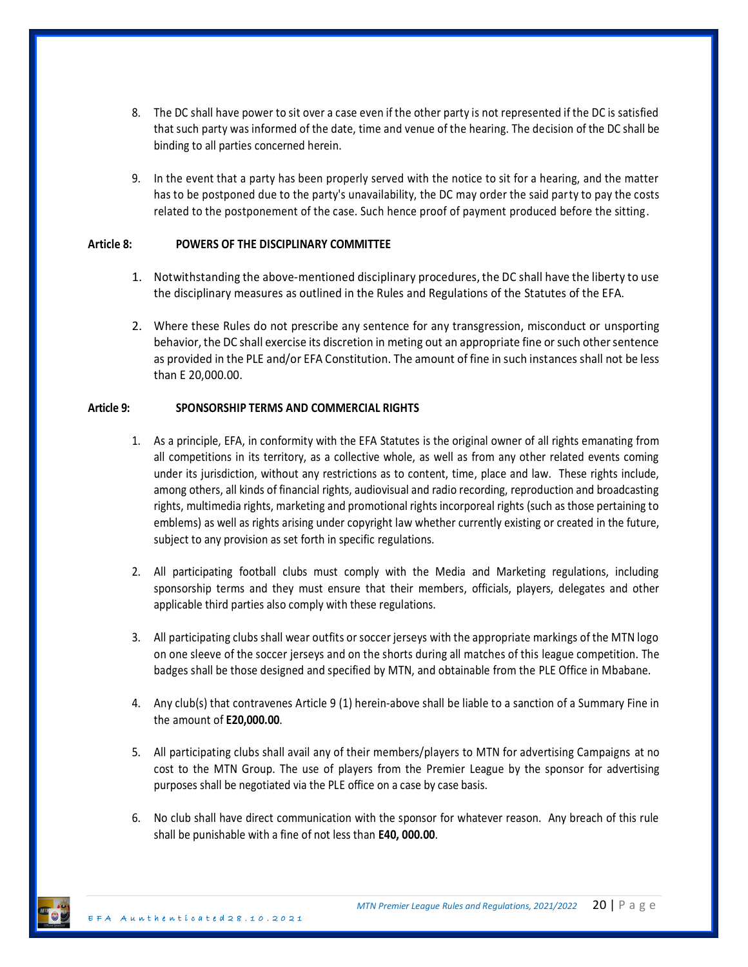- 8. The DC shall have power to sit over a case even if the other party is not represented if the DC is satisfied that such party was informed of the date, time and venue of the hearing. The decision of the DC shall be binding to all parties concerned herein.
- 9. In the event that a party has been properly served with the notice to sit for a hearing, and the matter has to be postponed due to the party's unavailability, the DC may order the said party to pay the costs related to the postponement of the case. Such hence proof of payment produced before the sitting.

#### **Article 8: POWERS OF THE DISCIPLINARY COMMITTEE**

- 1. Notwithstanding the above-mentioned disciplinary procedures, the DC shall have the liberty to use the disciplinary measures as outlined in the Rules and Regulations of the Statutes of the EFA.
- 2. Where these Rules do not prescribe any sentence for any transgression, misconduct or unsporting behavior, the DC shall exercise its discretion in meting out an appropriate fine or such other sentence as provided in the PLE and/or EFA Constitution. The amount of fine in such instances shall not be less than E 20,000.00.

#### **Article 9: SPONSORSHIP TERMS AND COMMERCIAL RIGHTS**

- 1. As a principle, EFA, in conformity with the EFA Statutes is the original owner of all rights emanating from all competitions in its territory, as a collective whole, as well as from any other related events coming under its jurisdiction, without any restrictions as to content, time, place and law. These rights include, among others, all kinds of financial rights, audiovisual and radio recording, reproduction and broadcasting rights, multimedia rights, marketing and promotional rights incorporeal rights (such as those pertaining to emblems) as well as rights arising under copyright law whether currently existing or created in the future, subject to any provision as set forth in specific regulations.
- 2. All participating football clubs must comply with the Media and Marketing regulations, including sponsorship terms and they must ensure that their members, officials, players, delegates and other applicable third parties also comply with these regulations.
- 3. All participating clubs shall wear outfits or soccer jerseys with the appropriate markings of the MTN logo on one sleeve of the soccer jerseys and on the shorts during all matches of this league competition. The badges shall be those designed and specified by MTN, and obtainable from the PLE Office in Mbabane.
- 4. Any club(s) that contravenes Article 9 (1) herein-above shall be liable to a sanction of a Summary Fine in the amount of **E20,000.00**.
- 5. All participating clubs shall avail any of their members/players to MTN for advertising Campaigns at no cost to the MTN Group. The use of players from the Premier League by the sponsor for advertising purposes shall be negotiated via the PLE office on a case by case basis.
- 6. No club shall have direct communication with the sponsor for whatever reason. Any breach of this rule shall be punishable with a fine of not less than **E40, 000.00**.

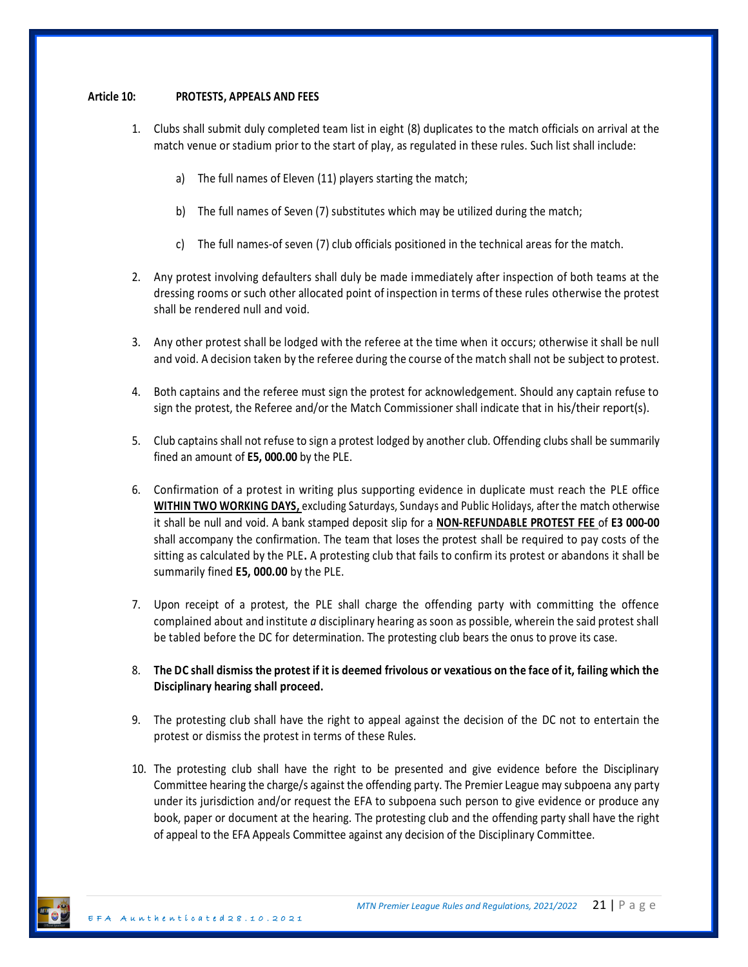#### **Article 10: PROTESTS, APPEALS AND FEES**

- 1. Clubs shall submit duly completed team list in eight (8) duplicates to the match officials on arrival at the match venue or stadium prior to the start of play, as regulated in these rules. Such list shall include:
	- a) The full names of Eleven (11) players starting the match;
	- b) The full names of Seven (7) substitutes which may be utilized during the match;
	- c) The full names-of seven (7) club officials positioned in the technical areas for the match.
- 2. Any protest involving defaulters shall duly be made immediately after inspection of both teams at the dressing rooms or such other allocated point of inspection in terms of these rules otherwise the protest shall be rendered null and void.
- 3. Any other protest shall be lodged with the referee at the time when it occurs; otherwise it shall be null and void. A decision taken by the referee during the course of the match shall not be subject to protest.
- 4. Both captains and the referee must sign the protest for acknowledgement. Should any captain refuse to sign the protest, the Referee and/or the Match Commissioner shall indicate that in his/their report(s).
- 5. Club captains shall not refuse to sign a protest lodged by another club. Offending clubs shall be summarily fined an amount of **E5, 000.00** by the PLE.
- 6. Confirmation of a protest in writing plus supporting evidence in duplicate must reach the PLE office **WITHIN TWO WORKING DAYS,** excluding Saturdays, Sundays and Public Holidays, after the match otherwise it shall be null and void. A bank stamped deposit slip for a **NON-REFUNDABLE PROTEST FEE** of **E3 000-00**  shall accompany the confirmation. The team that loses the protest shall be required to pay costs of the sitting as calculated by the PLE**.** A protesting club that fails to confirm its protest or abandons it shall be summarily fined **E5, 000.00** by the PLE.
- 7. Upon receipt of a protest, the PLE shall charge the offending party with committing the offence complained about and institute *a* disciplinary hearing as soon as possible, wherein the said protest shall be tabled before the DC for determination. The protesting club bears the onus to prove its case.
- 8. **The DC shall dismiss the protest if it is deemed frivolous or vexatious on the face of it, failing which the Disciplinary hearing shall proceed.**
- 9. The protesting club shall have the right to appeal against the decision of the DC not to entertain the protest or dismiss the protest in terms of these Rules.
- 10. The protesting club shall have the right to be presented and give evidence before the Disciplinary Committee hearing the charge/s against the offending party. The Premier League may subpoena any party under its jurisdiction and/or request the EFA to subpoena such person to give evidence or produce any book, paper or document at the hearing. The protesting club and the offending party shall have the right of appeal to the EFA Appeals Committee against any decision of the Disciplinary Committee.

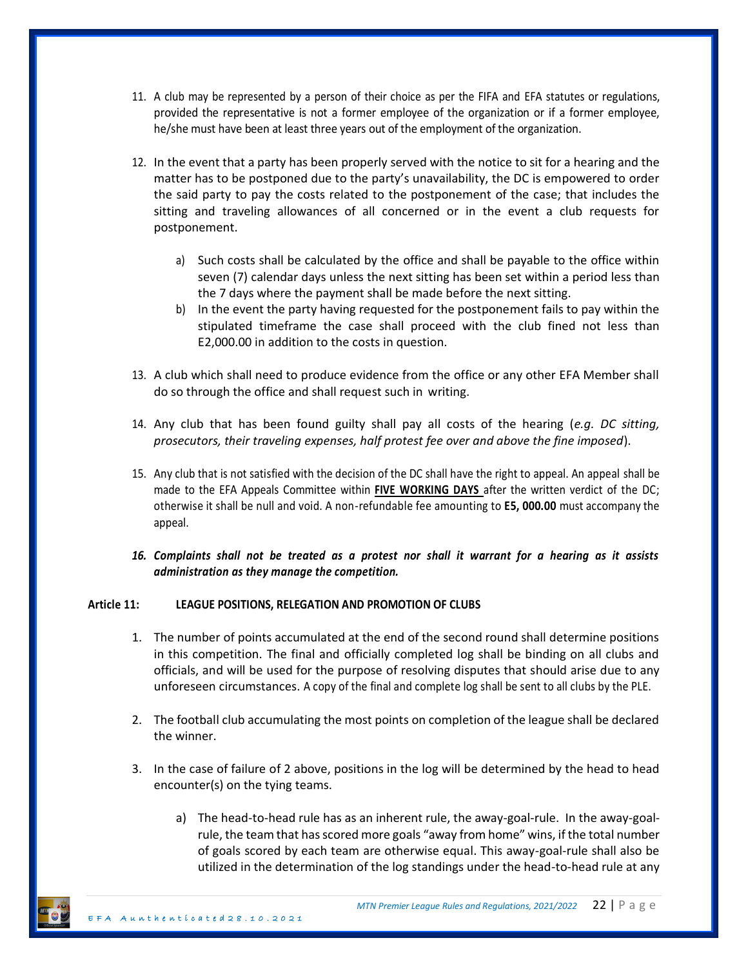- 11. A club may be represented by a person of their choice as per the FIFA and EFA statutes or regulations, provided the representative is not a former employee of the organization or if a former employee, he/she must have been at least three years out of the employment of the organization.
- 12. In the event that a party has been properly served with the notice to sit for a hearing and the matter has to be postponed due to the party's unavailability, the DC is empowered to order the said party to pay the costs related to the postponement of the case; that includes the sitting and traveling allowances of all concerned or in the event a club requests for postponement.
	- a) Such costs shall be calculated by the office and shall be payable to the office within seven (7) calendar days unless the next sitting has been set within a period less than the 7 days where the payment shall be made before the next sitting.
	- b) In the event the party having requested for the postponement fails to pay within the stipulated timeframe the case shall proceed with the club fined not less than E2,000.00 in addition to the costs in question.
- 13. A club which shall need to produce evidence from the office or any other EFA Member shall do so through the office and shall request such in writing.
- 14. Any club that has been found guilty shall pay all costs of the hearing (*e.g. DC sitting, prosecutors, their traveling expenses, half protest fee over and above the fine imposed*).
- 15. Any club that is not satisfied with the decision of the DC shall have the right to appeal. An appeal shall be made to the EFA Appeals Committee within **FIVE WORKING DAYS** after the written verdict of the DC; otherwise it shall be null and void. A non-refundable fee amounting to **E5, 000.00** must accompany the appeal.
- *16. Complaints shall not be treated as a protest nor shall it warrant for a hearing as it assists administration as they manage the competition.*

#### **Article 11: LEAGUE POSITIONS, RELEGATION AND PROMOTION OF CLUBS**

- 1. The number of points accumulated at the end of the second round shall determine positions in this competition. The final and officially completed log shall be binding on all clubs and officials, and will be used for the purpose of resolving disputes that should arise due to any unforeseen circumstances. A copy of the final and complete log shall be sent to all clubs by the PLE.
- 2. The football club accumulating the most points on completion of the league shall be declared the winner.
- 3. In the case of failure of 2 above, positions in the log will be determined by the head to head encounter(s) on the tying teams.
	- a) The head-to-head rule has as an inherent rule, the away-goal-rule. In the away-goalrule, the team that has scored more goals "away from home" wins, if the total number of goals scored by each team are otherwise equal. This away-goal-rule shall also be utilized in the determination of the log standings under the head-to-head rule at any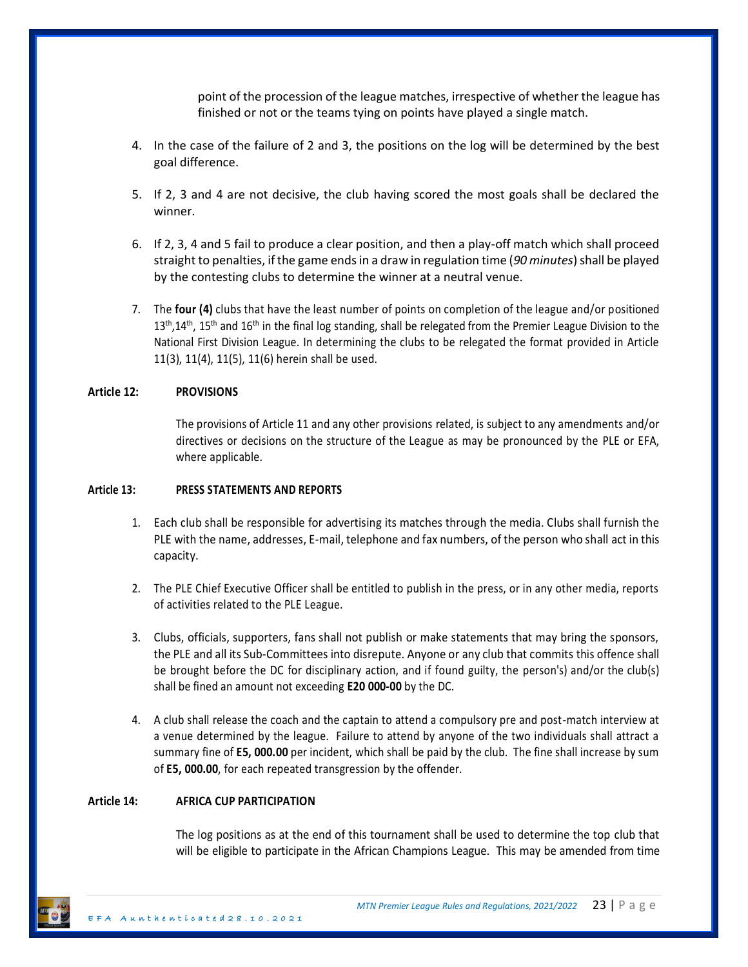point of the procession of the league matches, irrespective of whether the league has finished or not or the teams tying on points have played a single match.

- 4. In the case of the failure of 2 and 3, the positions on the log will be determined by the best goal difference.
- 5. If 2, 3 and 4 are not decisive, the club having scored the most goals shall be declared the winner.
- 6. If 2, 3, 4 and 5 fail to produce a clear position, and then a play-off match which shall proceed straight to penalties, if the game ends in a draw in regulation time (*90 minutes*) shall be played by the contesting clubs to determine the winner at a neutral venue.
- 7. The **four (4)** clubs that have the least number of points on completion of the league and/or positioned  $13<sup>th</sup>$ ,  $14<sup>th</sup>$ ,  $15<sup>th</sup>$  and  $16<sup>th</sup>$  in the final log standing, shall be relegated from the Premier League Division to the National First Division League. In determining the clubs to be relegated the format provided in Article 11(3), 11(4), 11(5), 11(6) herein shall be used.

## **Article 12: PROVISIONS**

The provisions of Article 11 and any other provisions related, is subject to any amendments and/or directives or decisions on the structure of the League as may be pronounced by the PLE or EFA, where applicable.

#### **Article 13: PRESS STATEMENTS AND REPORTS**

- 1. Each club shall be responsible for advertising its matches through the media. Clubs shall furnish the PLE with the name, addresses, E-mail, telephone and fax numbers, of the person who shall act in this capacity.
- 2. The PLE Chief Executive Officer shall be entitled to publish in the press, or in any other media, reports of activities related to the PLE League.
- 3. Clubs, officials, supporters, fans shall not publish or make statements that may bring the sponsors, the PLE and all its Sub-Committees into disrepute. Anyone or any club that commits this offence shall be brought before the DC for disciplinary action, and if found guilty, the person's) and/or the club(s) shall be fined an amount not exceeding **E20 000-00** by the DC.
- 4. A club shall release the coach and the captain to attend a compulsory pre and post-match interview at a venue determined by the league. Failure to attend by anyone of the two individuals shall attract a summary fine of **E5, 000.00** per incident, which shall be paid by the club. The fine shall increase by sum of **E5, 000.00**, for each repeated transgression by the offender.

## **Article 14: AFRICA CUP PARTICIPATION**

The log positions as at the end of this tournament shall be used to determine the top club that will be eligible to participate in the African Champions League. This may be amended from time

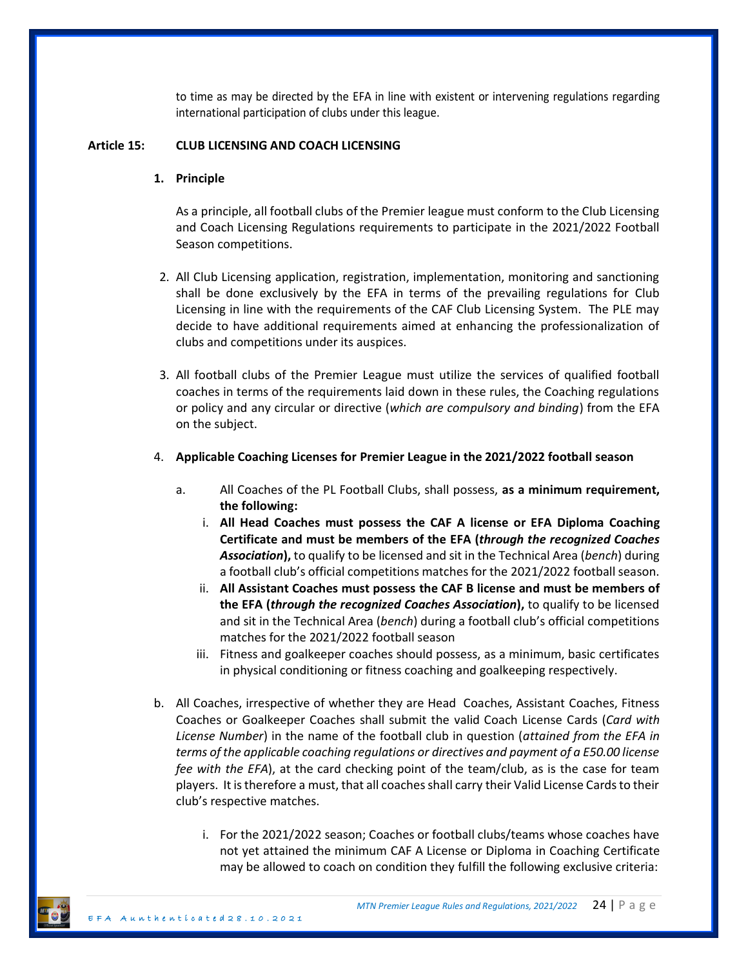to time as may be directed by the EFA in line with existent or intervening regulations regarding international participation of clubs under this league.

#### **Article 15: CLUB LICENSING AND COACH LICENSING**

#### **1. Principle**

As a principle, all football clubs of the Premier league must conform to the Club Licensing and Coach Licensing Regulations requirements to participate in the 2021/2022 Football Season competitions.

- 2. All Club Licensing application, registration, implementation, monitoring and sanctioning shall be done exclusively by the EFA in terms of the prevailing regulations for Club Licensing in line with the requirements of the CAF Club Licensing System. The PLE may decide to have additional requirements aimed at enhancing the professionalization of clubs and competitions under its auspices.
- 3. All football clubs of the Premier League must utilize the services of qualified football coaches in terms of the requirements laid down in these rules, the Coaching regulations or policy and any circular or directive (*which are compulsory and binding*) from the EFA on the subject.
- 4. **Applicable Coaching Licenses for Premier League in the 2021/2022 football season**
	- a. All Coaches of the PL Football Clubs, shall possess, **as a minimum requirement, the following:**
		- i. **All Head Coaches must possess the CAF A license or EFA Diploma Coaching Certificate and must be members of the EFA (***through the recognized Coaches Association***),** to qualify to be licensed and sit in the Technical Area (*bench*) during a football club's official competitions matches for the 2021/2022 football season.
		- ii. **All Assistant Coaches must possess the CAF B license and must be members of the EFA (***through the recognized Coaches Association***),** to qualify to be licensed and sit in the Technical Area (*bench*) during a football club's official competitions matches for the 2021/2022 football season
		- iii. Fitness and goalkeeper coaches should possess, as a minimum, basic certificates in physical conditioning or fitness coaching and goalkeeping respectively.
- b. All Coaches, irrespective of whether they are Head Coaches, Assistant Coaches, Fitness Coaches or Goalkeeper Coaches shall submit the valid Coach License Cards (*Card with License Number*) in the name of the football club in question (*attained from the EFA in terms of the applicable coaching regulations or directives and payment of a E50.00 license fee with the EFA*), at the card checking point of the team/club, as is the case for team players. It is therefore a must, that all coaches shall carry their Valid License Cards to their club's respective matches.
	- i. For the 2021/2022 season; Coaches or football clubs/teams whose coaches have not yet attained the minimum CAF A License or Diploma in Coaching Certificate may be allowed to coach on condition they fulfill the following exclusive criteria: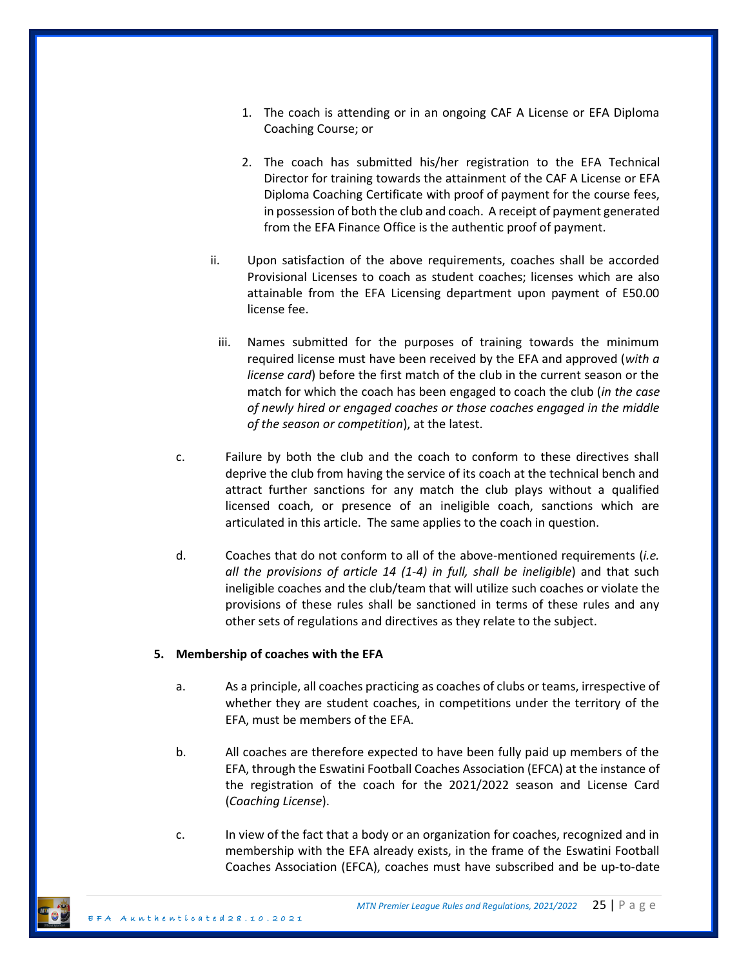- 1. The coach is attending or in an ongoing CAF A License or EFA Diploma Coaching Course; or
- 2. The coach has submitted his/her registration to the EFA Technical Director for training towards the attainment of the CAF A License or EFA Diploma Coaching Certificate with proof of payment for the course fees, in possession of both the club and coach. A receipt of payment generated from the EFA Finance Office is the authentic proof of payment.
- ii. Upon satisfaction of the above requirements, coaches shall be accorded Provisional Licenses to coach as student coaches; licenses which are also attainable from the EFA Licensing department upon payment of E50.00 license fee.
	- iii. Names submitted for the purposes of training towards the minimum required license must have been received by the EFA and approved (*with a license card*) before the first match of the club in the current season or the match for which the coach has been engaged to coach the club (*in the case of newly hired or engaged coaches or those coaches engaged in the middle of the season or competition*), at the latest.
- c. Failure by both the club and the coach to conform to these directives shall deprive the club from having the service of its coach at the technical bench and attract further sanctions for any match the club plays without a qualified licensed coach, or presence of an ineligible coach, sanctions which are articulated in this article. The same applies to the coach in question.
- d. Coaches that do not conform to all of the above-mentioned requirements (*i.e. all the provisions of article 14 (1-4) in full, shall be ineligible*) and that such ineligible coaches and the club/team that will utilize such coaches or violate the provisions of these rules shall be sanctioned in terms of these rules and any other sets of regulations and directives as they relate to the subject.

## **5. Membership of coaches with the EFA**

- a. As a principle, all coaches practicing as coaches of clubs or teams, irrespective of whether they are student coaches, in competitions under the territory of the EFA, must be members of the EFA.
- b. All coaches are therefore expected to have been fully paid up members of the EFA, through the Eswatini Football Coaches Association (EFCA) at the instance of the registration of the coach for the 2021/2022 season and License Card (*Coaching License*).
- c. In view of the fact that a body or an organization for coaches, recognized and in membership with the EFA already exists, in the frame of the Eswatini Football Coaches Association (EFCA), coaches must have subscribed and be up-to-date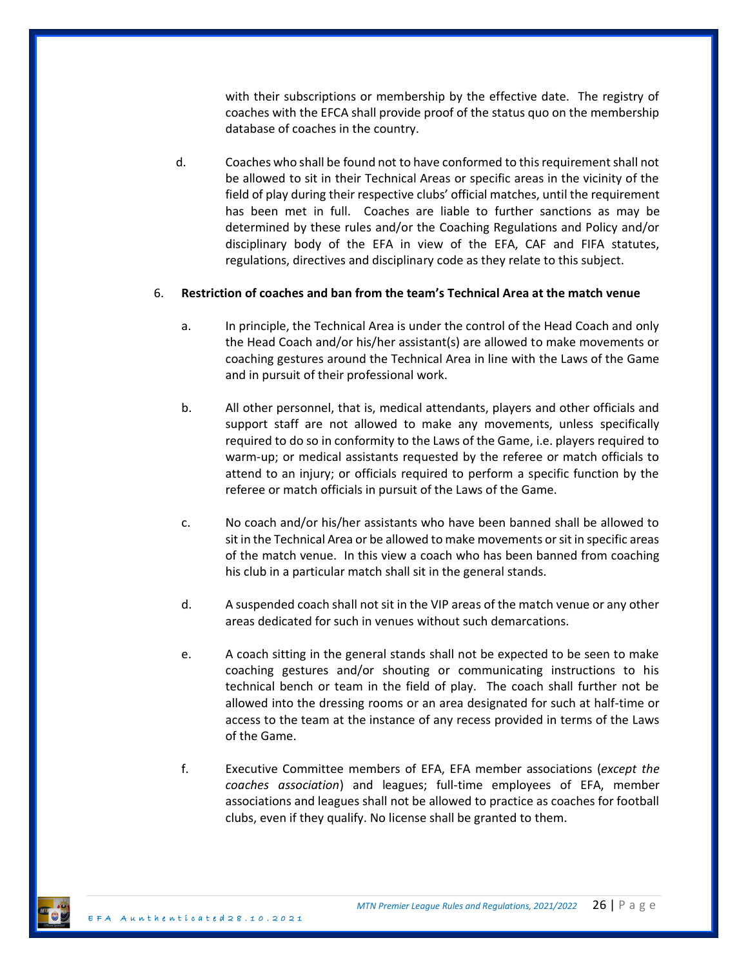with their subscriptions or membership by the effective date. The registry of coaches with the EFCA shall provide proof of the status quo on the membership database of coaches in the country.

d. Coaches who shall be found not to have conformed to this requirement shall not be allowed to sit in their Technical Areas or specific areas in the vicinity of the field of play during their respective clubs' official matches, until the requirement has been met in full. Coaches are liable to further sanctions as may be determined by these rules and/or the Coaching Regulations and Policy and/or disciplinary body of the EFA in view of the EFA, CAF and FIFA statutes, regulations, directives and disciplinary code as they relate to this subject.

## 6. **Restriction of coaches and ban from the team's Technical Area at the match venue**

- a. In principle, the Technical Area is under the control of the Head Coach and only the Head Coach and/or his/her assistant(s) are allowed to make movements or coaching gestures around the Technical Area in line with the Laws of the Game and in pursuit of their professional work.
- b. All other personnel, that is, medical attendants, players and other officials and support staff are not allowed to make any movements, unless specifically required to do so in conformity to the Laws of the Game, i.e. players required to warm-up; or medical assistants requested by the referee or match officials to attend to an injury; or officials required to perform a specific function by the referee or match officials in pursuit of the Laws of the Game.
- c. No coach and/or his/her assistants who have been banned shall be allowed to sit in the Technical Area or be allowed to make movements or sit in specific areas of the match venue. In this view a coach who has been banned from coaching his club in a particular match shall sit in the general stands.
- d. A suspended coach shall not sit in the VIP areas of the match venue or any other areas dedicated for such in venues without such demarcations.
- e. A coach sitting in the general stands shall not be expected to be seen to make coaching gestures and/or shouting or communicating instructions to his technical bench or team in the field of play. The coach shall further not be allowed into the dressing rooms or an area designated for such at half-time or access to the team at the instance of any recess provided in terms of the Laws of the Game.
- f. Executive Committee members of EFA, EFA member associations (*except the coaches association*) and leagues; full-time employees of EFA, member associations and leagues shall not be allowed to practice as coaches for football clubs, even if they qualify. No license shall be granted to them.

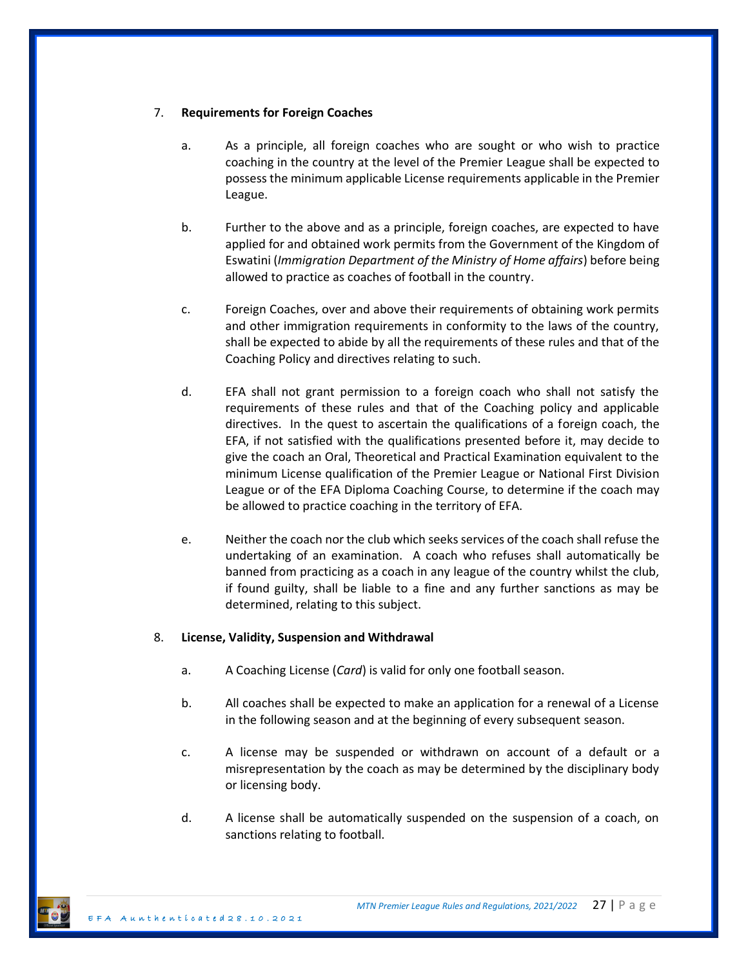## 7. **Requirements for Foreign Coaches**

- a. As a principle, all foreign coaches who are sought or who wish to practice coaching in the country at the level of the Premier League shall be expected to possess the minimum applicable License requirements applicable in the Premier League.
- b. Further to the above and as a principle, foreign coaches, are expected to have applied for and obtained work permits from the Government of the Kingdom of Eswatini (*Immigration Department of the Ministry of Home affairs*) before being allowed to practice as coaches of football in the country.
- c. Foreign Coaches, over and above their requirements of obtaining work permits and other immigration requirements in conformity to the laws of the country, shall be expected to abide by all the requirements of these rules and that of the Coaching Policy and directives relating to such.
- d. EFA shall not grant permission to a foreign coach who shall not satisfy the requirements of these rules and that of the Coaching policy and applicable directives. In the quest to ascertain the qualifications of a foreign coach, the EFA, if not satisfied with the qualifications presented before it, may decide to give the coach an Oral, Theoretical and Practical Examination equivalent to the minimum License qualification of the Premier League or National First Division League or of the EFA Diploma Coaching Course, to determine if the coach may be allowed to practice coaching in the territory of EFA.
- e. Neither the coach nor the club which seeks services of the coach shall refuse the undertaking of an examination. A coach who refuses shall automatically be banned from practicing as a coach in any league of the country whilst the club, if found guilty, shall be liable to a fine and any further sanctions as may be determined, relating to this subject.

## 8. **License, Validity, Suspension and Withdrawal**

- a. A Coaching License (*Card*) is valid for only one football season.
- b. All coaches shall be expected to make an application for a renewal of a License in the following season and at the beginning of every subsequent season.
- c. A license may be suspended or withdrawn on account of a default or a misrepresentation by the coach as may be determined by the disciplinary body or licensing body.
- d. A license shall be automatically suspended on the suspension of a coach, on sanctions relating to football.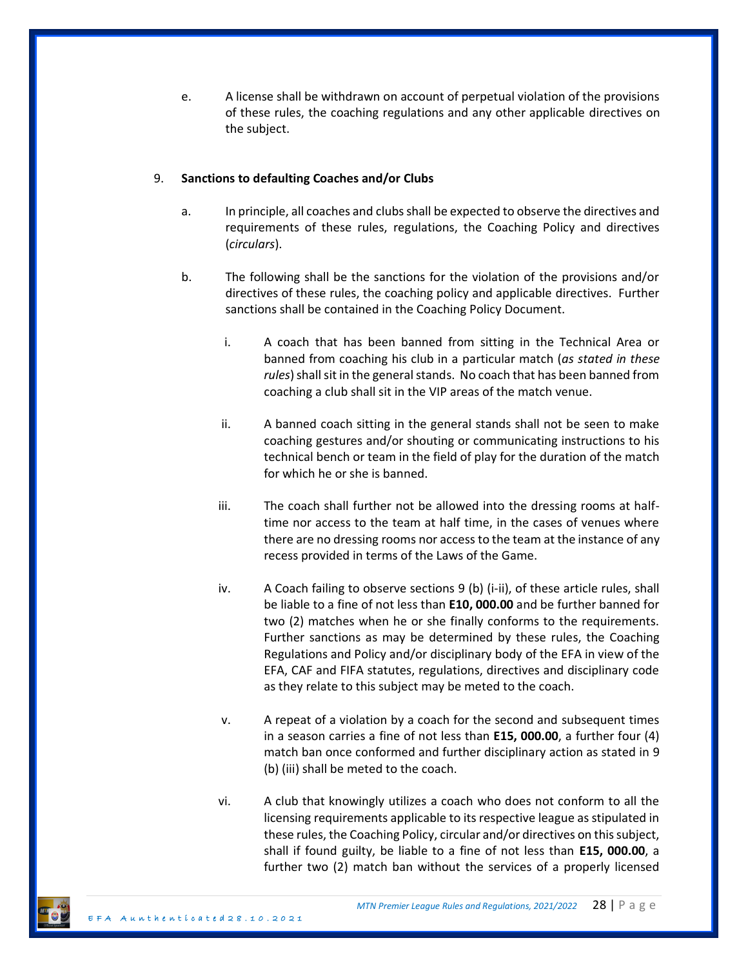e. A license shall be withdrawn on account of perpetual violation of the provisions of these rules, the coaching regulations and any other applicable directives on the subject.

## 9. **Sanctions to defaulting Coaches and/or Clubs**

- a. In principle, all coaches and clubs shall be expected to observe the directives and requirements of these rules, regulations, the Coaching Policy and directives (*circulars*).
- b. The following shall be the sanctions for the violation of the provisions and/or directives of these rules, the coaching policy and applicable directives. Further sanctions shall be contained in the Coaching Policy Document.
	- i. A coach that has been banned from sitting in the Technical Area or banned from coaching his club in a particular match (*as stated in these rules*) shall sit in the general stands. No coach that has been banned from coaching a club shall sit in the VIP areas of the match venue.
	- ii. A banned coach sitting in the general stands shall not be seen to make coaching gestures and/or shouting or communicating instructions to his technical bench or team in the field of play for the duration of the match for which he or she is banned.
	- iii. The coach shall further not be allowed into the dressing rooms at halftime nor access to the team at half time, in the cases of venues where there are no dressing rooms nor access to the team at the instance of any recess provided in terms of the Laws of the Game.
	- iv. A Coach failing to observe sections 9 (b) (i-ii), of these article rules, shall be liable to a fine of not less than **E10, 000.00** and be further banned for two (2) matches when he or she finally conforms to the requirements. Further sanctions as may be determined by these rules, the Coaching Regulations and Policy and/or disciplinary body of the EFA in view of the EFA, CAF and FIFA statutes, regulations, directives and disciplinary code as they relate to this subject may be meted to the coach.
	- v. A repeat of a violation by a coach for the second and subsequent times in a season carries a fine of not less than **E15, 000.00**, a further four (4) match ban once conformed and further disciplinary action as stated in 9 (b) (iii) shall be meted to the coach.
	- vi. A club that knowingly utilizes a coach who does not conform to all the licensing requirements applicable to its respective league as stipulated in these rules, the Coaching Policy, circular and/or directives on this subject, shall if found guilty, be liable to a fine of not less than **E15, 000.00**, a further two (2) match ban without the services of a properly licensed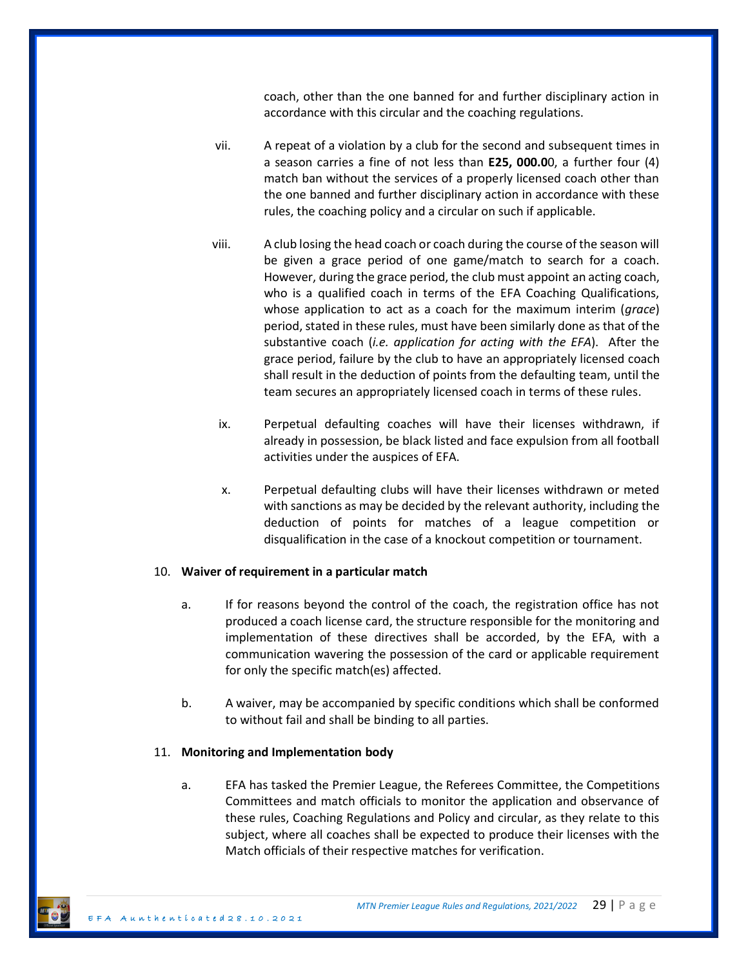coach, other than the one banned for and further disciplinary action in accordance with this circular and the coaching regulations.

- vii. A repeat of a violation by a club for the second and subsequent times in a season carries a fine of not less than **E25, 000.0**0, a further four (4) match ban without the services of a properly licensed coach other than the one banned and further disciplinary action in accordance with these rules, the coaching policy and a circular on such if applicable.
- viii. A club losing the head coach or coach during the course of the season will be given a grace period of one game/match to search for a coach. However, during the grace period, the club must appoint an acting coach, who is a qualified coach in terms of the EFA Coaching Qualifications, whose application to act as a coach for the maximum interim (*grace*) period, stated in these rules, must have been similarly done as that of the substantive coach (*i.e. application for acting with the EFA*). After the grace period, failure by the club to have an appropriately licensed coach shall result in the deduction of points from the defaulting team, until the team secures an appropriately licensed coach in terms of these rules.
- ix. Perpetual defaulting coaches will have their licenses withdrawn, if already in possession, be black listed and face expulsion from all football activities under the auspices of EFA.
- x. Perpetual defaulting clubs will have their licenses withdrawn or meted with sanctions as may be decided by the relevant authority, including the deduction of points for matches of a league competition or disqualification in the case of a knockout competition or tournament.

## 10. **Waiver of requirement in a particular match**

- a. If for reasons beyond the control of the coach, the registration office has not produced a coach license card, the structure responsible for the monitoring and implementation of these directives shall be accorded, by the EFA, with a communication wavering the possession of the card or applicable requirement for only the specific match(es) affected.
- b. A waiver, may be accompanied by specific conditions which shall be conformed to without fail and shall be binding to all parties.

#### 11. **Monitoring and Implementation body**

a. EFA has tasked the Premier League, the Referees Committee, the Competitions Committees and match officials to monitor the application and observance of these rules, Coaching Regulations and Policy and circular, as they relate to this subject, where all coaches shall be expected to produce their licenses with the Match officials of their respective matches for verification.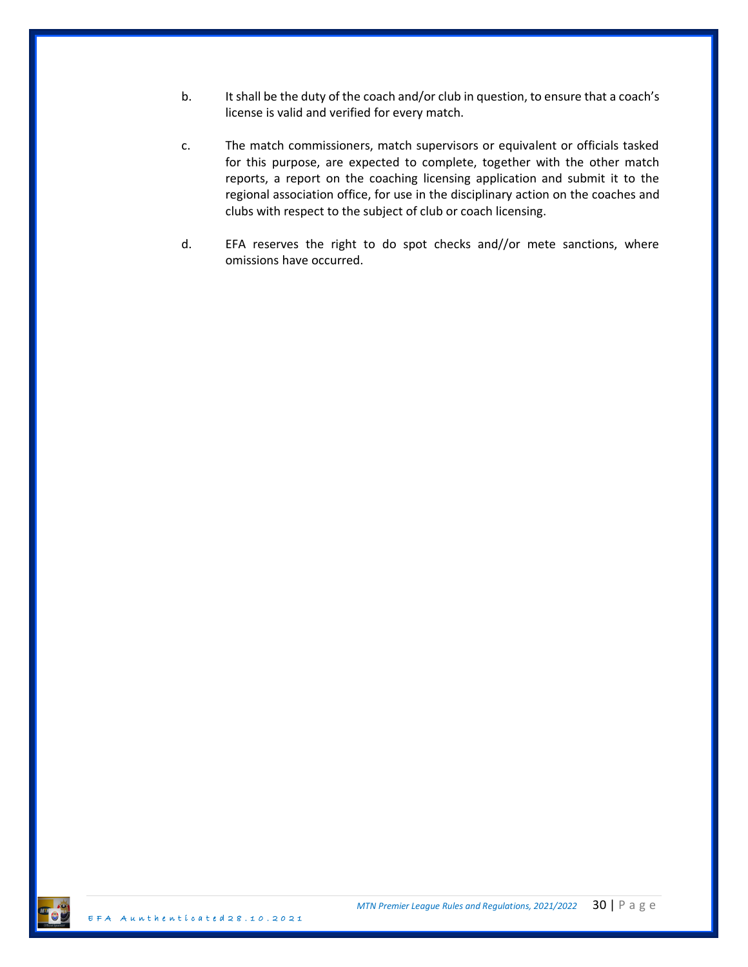- b. It shall be the duty of the coach and/or club in question, to ensure that a coach's license is valid and verified for every match.
- c. The match commissioners, match supervisors or equivalent or officials tasked for this purpose, are expected to complete, together with the other match reports, a report on the coaching licensing application and submit it to the regional association office, for use in the disciplinary action on the coaches and clubs with respect to the subject of club or coach licensing.
- d. EFA reserves the right to do spot checks and//or mete sanctions, where omissions have occurred.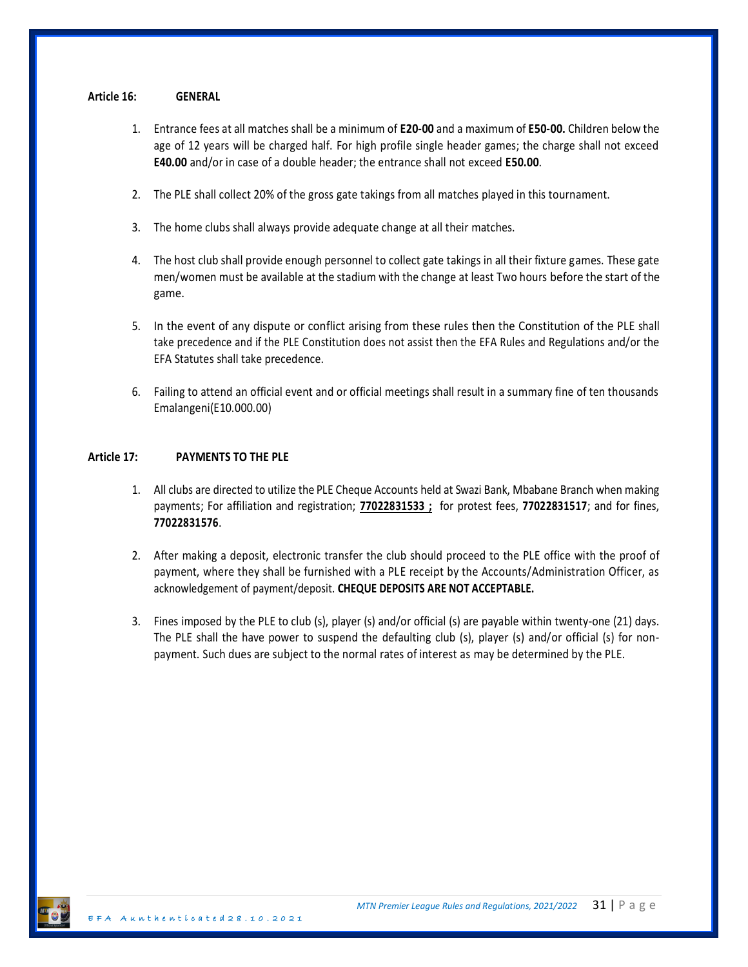#### **Article 16: GENERAL**

- 1. Entrance fees at all matches shall be a minimum of **E20-00** and a maximum of **E50-00.** Children below the age of 12 years will be charged half. For high profile single header games; the charge shall not exceed **E40.00** and/or in case of a double header; the entrance shall not exceed **E50.00**.
- 2. The PLE shall collect 20% of the gross gate takings from all matches played in this tournament.
- 3. The home clubs shall always provide adequate change at all their matches.
- 4. The host club shall provide enough personnel to collect gate takings in all their fixture games. These gate men/women must be available at the stadium with the change at least Two hours before the start of the game.
- 5. In the event of any dispute or conflict arising from these rules then the Constitution of the PLE shall take precedence and if the PLE Constitution does not assist then the EFA Rules and Regulations and/or the EFA Statutes shall take precedence.
- 6. Failing to attend an official event and or official meetings shall result in a summary fine of ten thousands Emalangeni(E10.000.00)

#### **Article 17: PAYMENTS TO THE PLE**

- 1. All clubs are directed to utilize the PLE Cheque Accounts held at Swazi Bank, Mbabane Branch when making payments; For affiliation and registration; **77022831533 ;** for protest fees, **77022831517**; and for fines, **77022831576**.
- 2. After making a deposit, electronic transfer the club should proceed to the PLE office with the proof of payment, where they shall be furnished with a PLE receipt by the Accounts/Administration Officer, as acknowledgement of payment/deposit. **CHEQUE DEPOSITS ARE NOT ACCEPTABLE.**
- 3. Fines imposed by the PLE to club (s), player (s) and/or official (s) are payable within twenty-one (21) days. The PLE shall the have power to suspend the defaulting club (s), player (s) and/or official (s) for nonpayment. Such dues are subject to the normal rates of interest as may be determined by the PLE.

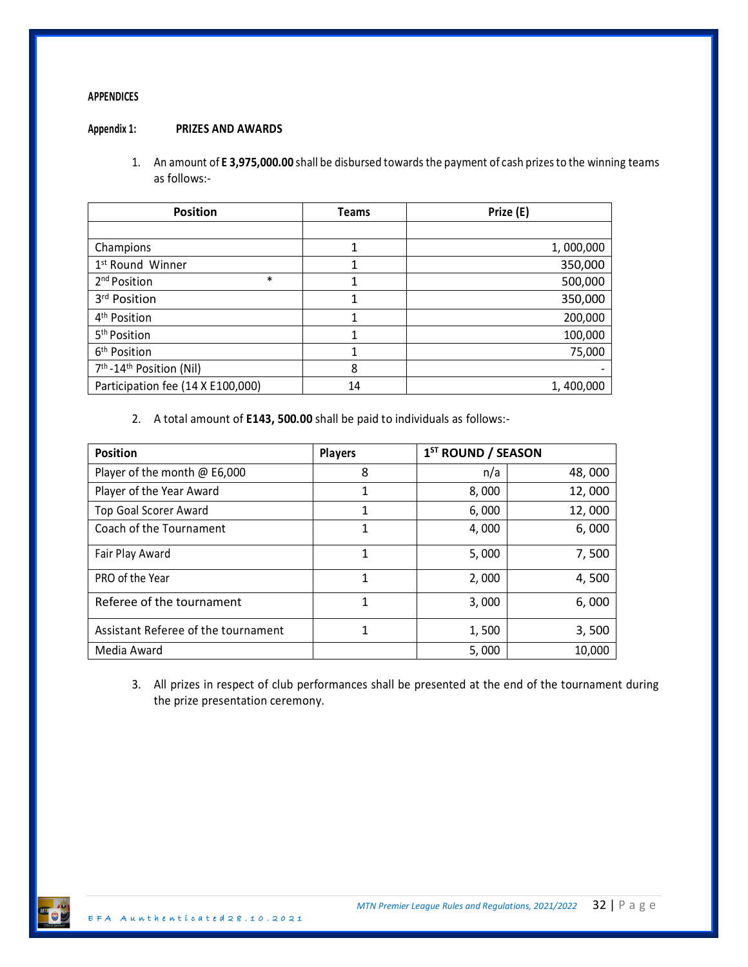## **APPENDICES**

## **Appendix 1: PRIZES AND AWARDS**

1. An amount of **E 3,975,000.00** shall be disbursed towards the payment of cash prizes to the winning teams as follows:-

| <b>Position</b>                                  | <b>Teams</b> | Prize (E) |  |
|--------------------------------------------------|--------------|-----------|--|
|                                                  |              |           |  |
| Champions                                        | 1            | 1,000,000 |  |
| 1 <sup>st</sup> Round Winner                     |              | 350,000   |  |
| 2 <sup>nd</sup> Position                         | $\ast$<br>1  | 500,000   |  |
| 3rd Position                                     | 1            | 350,000   |  |
| 4 <sup>th</sup> Position                         |              | 200,000   |  |
| 5 <sup>th</sup> Position                         | 1            | 100,000   |  |
| 6 <sup>th</sup> Position                         | 1            | 75,000    |  |
| 7 <sup>th</sup> -14 <sup>th</sup> Position (Nil) | 8            |           |  |
| Participation fee (14 X E100,000)                | 14           | 1,400,000 |  |

2. A total amount of **E143, 500.00** shall be paid to individuals as follows:-

| <b>Position</b>                     | <b>Players</b> | 1 <sup>ST</sup> ROUND / SEASON |        |
|-------------------------------------|----------------|--------------------------------|--------|
| Player of the month @ E6,000        | 8              | n/a                            | 48,000 |
| Player of the Year Award            | 1              | 8,000                          | 12,000 |
| <b>Top Goal Scorer Award</b>        | 1              | 6,000                          | 12,000 |
| Coach of the Tournament             | 1              | 4,000                          | 6,000  |
| Fair Play Award                     | 1              | 5,000                          | 7,500  |
| PRO of the Year                     | 1              | 2,000                          | 4,500  |
| Referee of the tournament           | 1              | 3,000                          | 6,000  |
| Assistant Referee of the tournament |                | 1,500                          | 3,500  |
| Media Award                         |                | 5,000                          | 10.000 |

3. All prizes in respect of club performances shall be presented at the end of the tournament during the prize presentation ceremony.